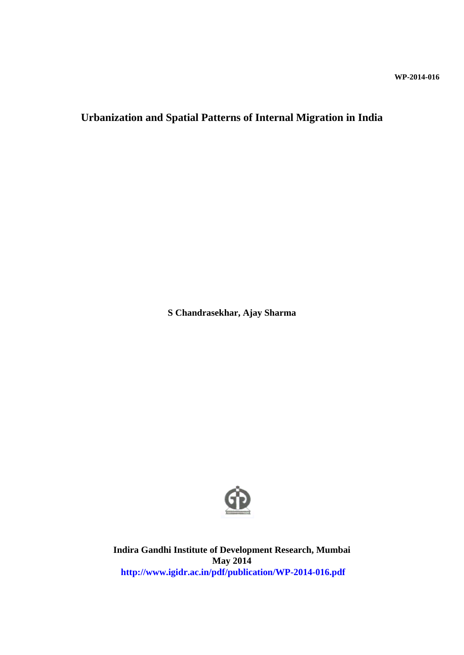# **Urbanization and Spatial Patterns of Internal Migration in India**

**S Chandrasekhar, Ajay Sharma**



**Indira Gandhi Institute of Development Research, Mumbai May 2014 http://www.igidr.ac.in/pdf/publication/WP-2014-016.pdf**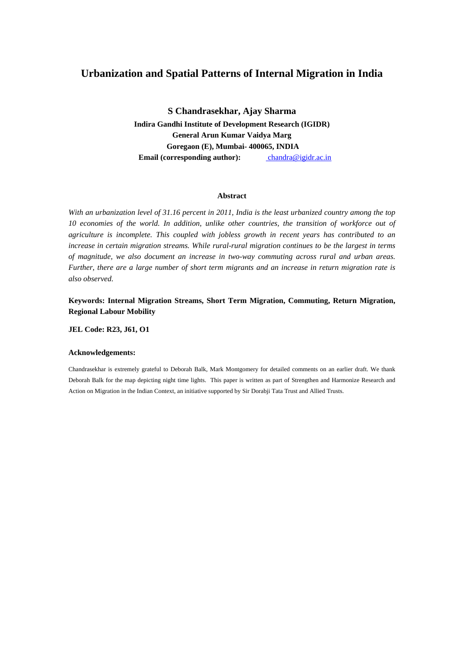# **Urbanization and Spatial Patterns of Internal Migration in India**

**S Chandrasekhar, Ajay Sharma Indira Gandhi Institute of Development Research (IGIDR) General Arun Kumar Vaidya Marg Goregaon (E), Mumbai- 400065, INDIA Email (corresponding author):** chandra@igidr.ac.in

#### **Abstract**

*With an urbanization level of 31.16 percent in 2011, India is the least urbanized country among the top 10 economies of the world. In addition, unlike other countries, the transition of workforce out of agriculture is incomplete. This coupled with jobless growth in recent years has contributed to an increase in certain migration streams. While rural-rural migration continues to be the largest in terms of magnitude, we also document an increase in two-way commuting across rural and urban areas. Further, there are a large number of short term migrants and an increase in return migration rate is also observed.* 

**Keywords: Internal Migration Streams, Short Term Migration, Commuting, Return Migration, Regional Labour Mobility**

**JEL Code: R23, J61, O1**

#### **Acknowledgements:**

Chandrasekhar is extremely grateful to Deborah Balk, Mark Montgomery for detailed comments on an earlier draft. We thank Deborah Balk for the map depicting night time lights. This paper is written as part of Strengthen and Harmonize Research and Action on Migration in the Indian Context, an initiative supported by Sir Dorabji Tata Trust and Allied Trusts.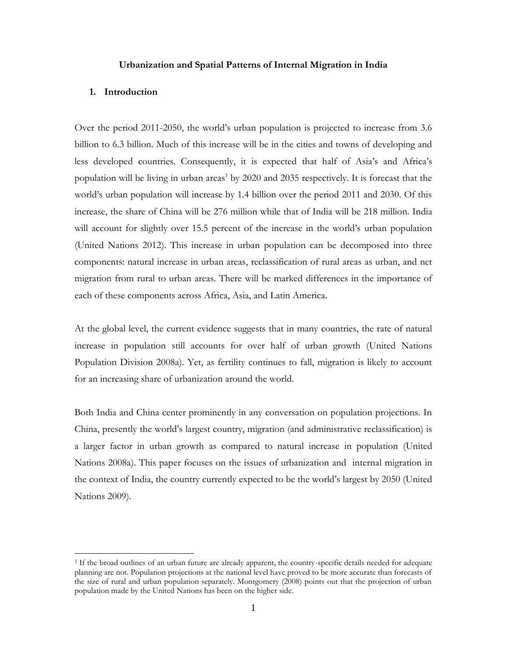#### **Urbanization and Spatial Patterns of Internal Migration in India**

#### **1. Introduction**

 $\overline{a}$ 

Over the period 2011-2050, the world's urban population is projected to increase from 3.6 billion to 6.3 billion. Much of this increase will be in the cities and towns of developing and less developed countries. Consequently, it is expected that half of Asia's and Africa's population will be living in urban areas<sup>1</sup> by 2020 and 2035 respectively. It is forecast that the world's urban population will increase by 1.4 billion over the period 2011 and 2030. Of this increase, the share of China will be 276 million while that of India will be 218 million. India will account for slightly over 15.5 percent of the increase in the world's urban population (United Nations 2012). This increase in urban population can be decomposed into three components: natural increase in urban areas, reclassification of rural areas as urban, and net migration from rural to urban areas. There will be marked differences in the importance of each of these components across Africa, Asia, and Latin America.

At the global level, the current evidence suggests that in many countries, the rate of natural increase in population still accounts for over half of urban growth (United Nations Population Division 2008a). Yet, as fertility continues to fall, migration is likely to account for an increasing share of urbanization around the world.

Both India and China center prominently in any conversation on population projections. In China, presently the world's largest country, migration (and administrative reclassification) is a larger factor in urban growth as compared to natural increase in population (United Nations 2008a). This paper focuses on the issues of urbanization and internal migration in the context of India, the country currently expected to be the world's largest by 2050 (United Nations 2009).

<sup>&</sup>lt;sup>1</sup> If the broad outlines of an urban future are already apparent, the country-specific details needed for adequate planning are not. Population projections at the national level have proved to be more accurate than forecasts of the size of rural and urban population separately. Montgomery (2008) points out that the projection of urban population made by the United Nations has been on the higher side.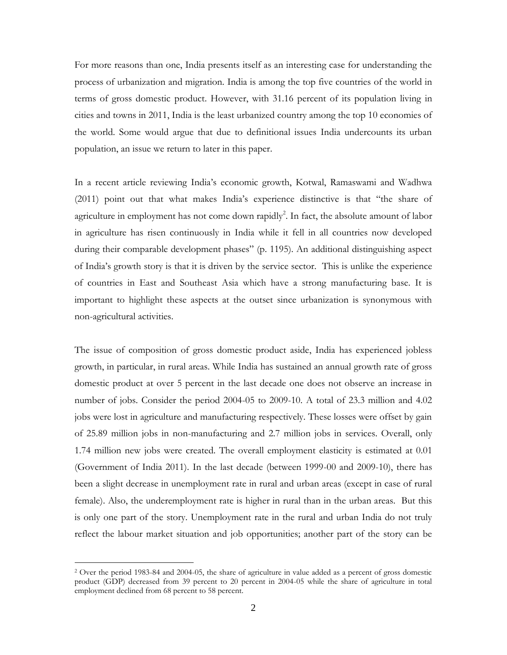For more reasons than one, India presents itself as an interesting case for understanding the process of urbanization and migration. India is among the top five countries of the world in terms of gross domestic product. However, with 31.16 percent of its population living in cities and towns in 2011, India is the least urbanized country among the top 10 economies of the world. Some would argue that due to definitional issues India undercounts its urban population, an issue we return to later in this paper.

In a recent article reviewing India's economic growth, Kotwal, Ramaswami and Wadhwa (2011) point out that what makes India's experience distinctive is that "the share of agriculture in employment has not come down rapidly<sup>2</sup>. In fact, the absolute amount of labor in agriculture has risen continuously in India while it fell in all countries now developed during their comparable development phases" (p. 1195). An additional distinguishing aspect of India's growth story is that it is driven by the service sector. This is unlike the experience of countries in East and Southeast Asia which have a strong manufacturing base. It is important to highlight these aspects at the outset since urbanization is synonymous with non-agricultural activities.

The issue of composition of gross domestic product aside, India has experienced jobless growth, in particular, in rural areas. While India has sustained an annual growth rate of gross domestic product at over 5 percent in the last decade one does not observe an increase in number of jobs. Consider the period 2004-05 to 2009-10. A total of 23.3 million and 4.02 jobs were lost in agriculture and manufacturing respectively. These losses were offset by gain of 25.89 million jobs in non-manufacturing and 2.7 million jobs in services. Overall, only 1.74 million new jobs were created. The overall employment elasticity is estimated at 0.01 (Government of India 2011). In the last decade (between 1999-00 and 2009-10), there has been a slight decrease in unemployment rate in rural and urban areas (except in case of rural female). Also, the underemployment rate is higher in rural than in the urban areas. But this is only one part of the story. Unemployment rate in the rural and urban India do not truly reflect the labour market situation and job opportunities; another part of the story can be

 $\overline{a}$ 

<sup>2</sup> Over the period 1983-84 and 2004-05, the share of agriculture in value added as a percent of gross domestic product (GDP) decreased from 39 percent to 20 percent in 2004-05 while the share of agriculture in total employment declined from 68 percent to 58 percent.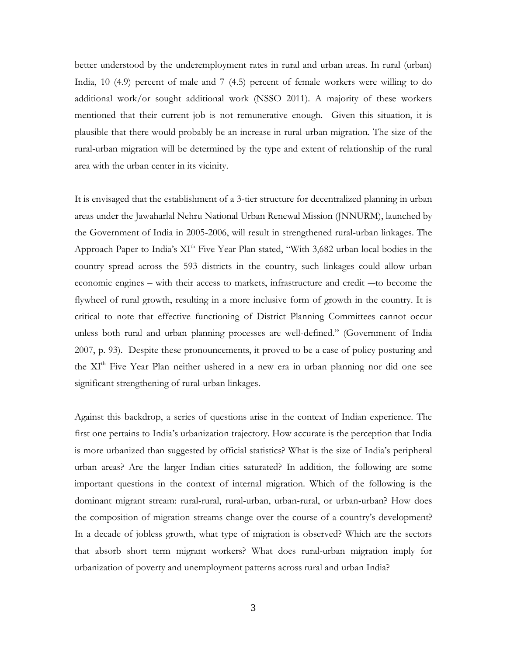better understood by the underemployment rates in rural and urban areas. In rural (urban) India, 10 (4.9) percent of male and 7 (4.5) percent of female workers were willing to do additional work/or sought additional work (NSSO 2011). A majority of these workers mentioned that their current job is not remunerative enough. Given this situation, it is plausible that there would probably be an increase in rural-urban migration. The size of the rural-urban migration will be determined by the type and extent of relationship of the rural area with the urban center in its vicinity.

It is envisaged that the establishment of a 3-tier structure for decentralized planning in urban areas under the Jawaharlal Nehru National Urban Renewal Mission (JNNURM), launched by the Government of India in 2005-2006, will result in strengthened rural-urban linkages. The Approach Paper to India's XI<sup>th</sup> Five Year Plan stated, "With 3,682 urban local bodies in the country spread across the 593 districts in the country, such linkages could allow urban economic engines – with their access to markets, infrastructure and credit ―to become the flywheel of rural growth, resulting in a more inclusive form of growth in the country. It is critical to note that effective functioning of District Planning Committees cannot occur unless both rural and urban planning processes are well-defined." (Government of India 2007, p. 93). Despite these pronouncements, it proved to be a case of policy posturing and the XI<sup>th</sup> Five Year Plan neither ushered in a new era in urban planning nor did one see significant strengthening of rural-urban linkages.

Against this backdrop, a series of questions arise in the context of Indian experience. The first one pertains to India's urbanization trajectory. How accurate is the perception that India is more urbanized than suggested by official statistics? What is the size of India's peripheral urban areas? Are the larger Indian cities saturated? In addition, the following are some important questions in the context of internal migration. Which of the following is the dominant migrant stream: rural-rural, rural-urban, urban-rural, or urban-urban? How does the composition of migration streams change over the course of a country's development? In a decade of jobless growth, what type of migration is observed? Which are the sectors that absorb short term migrant workers? What does rural-urban migration imply for urbanization of poverty and unemployment patterns across rural and urban India?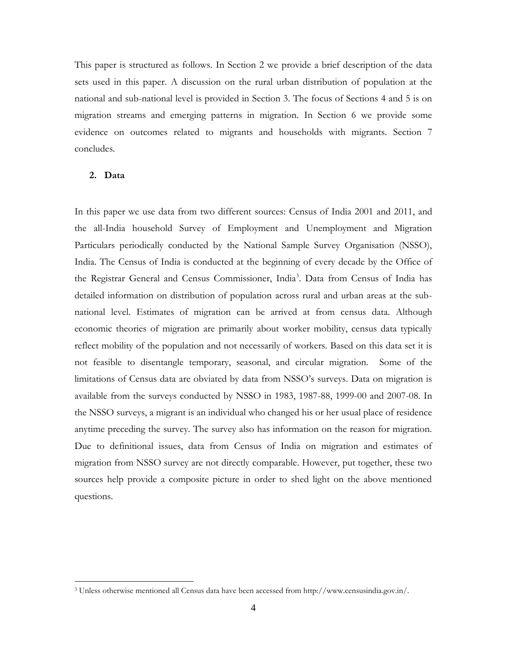This paper is structured as follows. In Section 2 we provide a brief description of the data sets used in this paper. A discussion on the rural urban distribution of population at the national and sub-national level is provided in Section 3. The focus of Sections 4 and 5 is on migration streams and emerging patterns in migration. In Section 6 we provide some evidence on outcomes related to migrants and households with migrants. Section 7 concludes.

#### **2. Data**

 $\overline{a}$ 

In this paper we use data from two different sources: Census of India 2001 and 2011, and the all-India household Survey of Employment and Unemployment and Migration Particulars periodically conducted by the National Sample Survey Organisation (NSSO), India. The Census of India is conducted at the beginning of every decade by the Office of the Registrar General and Census Commissioner, India<sup>3</sup>. Data from Census of India has detailed information on distribution of population across rural and urban areas at the subnational level. Estimates of migration can be arrived at from census data. Although economic theories of migration are primarily about worker mobility, census data typically reflect mobility of the population and not necessarily of workers. Based on this data set it is not feasible to disentangle temporary, seasonal, and circular migration. Some of the limitations of Census data are obviated by data from NSSO's surveys. Data on migration is available from the surveys conducted by NSSO in 1983, 1987-88, 1999-00 and 2007-08. In the NSSO surveys, a migrant is an individual who changed his or her usual place of residence anytime preceding the survey. The survey also has information on the reason for migration. Due to definitional issues, data from Census of India on migration and estimates of migration from NSSO survey are not directly comparable. However, put together, these two sources help provide a composite picture in order to shed light on the above mentioned questions.

<sup>3</sup> Unless otherwise mentioned all Census data have been accessed from http://www.censusindia.gov.in/.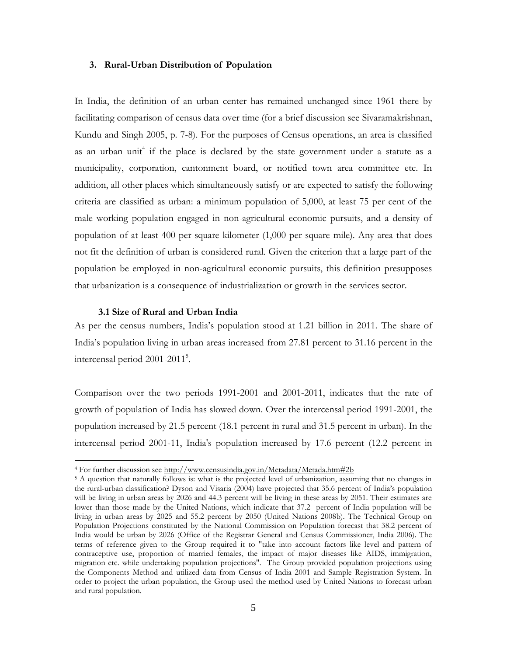#### **3. Rural-Urban Distribution of Population**

In India, the definition of an urban center has remained unchanged since 1961 there by facilitating comparison of census data over time (for a brief discussion see Sivaramakrishnan, Kundu and Singh 2005, p. 7-8). For the purposes of Census operations, an area is classified as an urban unit<sup>4</sup> if the place is declared by the state government under a statute as a municipality, corporation, cantonment board, or notified town area committee etc. In addition, all other places which simultaneously satisfy or are expected to satisfy the following criteria are classified as urban: a minimum population of 5,000, at least 75 per cent of the male working population engaged in non-agricultural economic pursuits, and a density of population of at least 400 per square kilometer (1,000 per square mile). Any area that does not fit the definition of urban is considered rural. Given the criterion that a large part of the population be employed in non-agricultural economic pursuits, this definition presupposes that urbanization is a consequence of industrialization or growth in the services sector.

#### **3.1 Size of Rural and Urban India**

 $\overline{a}$ 

As per the census numbers, India's population stood at 1.21 billion in 2011. The share of India's population living in urban areas increased from 27.81 percent to 31.16 percent in the intercensal period 2001-2011<sup>5</sup>.

Comparison over the two periods 1991-2001 and 2001-2011, indicates that the rate of growth of population of India has slowed down. Over the intercensal period 1991-2001, the population increased by 21.5 percent (18.1 percent in rural and 31.5 percent in urban). In the intercensal period 2001-11, India's population increased by 17.6 percent (12.2 percent in

<sup>4</sup> For further discussion see<http://www.censusindia.gov.in/Metadata/Metada.htm#2b>

<sup>&</sup>lt;sup>5</sup> A question that naturally follows is: what is the projected level of urbanization, assuming that no changes in the rural-urban classification? Dyson and Visaria (2004) have projected that 35.6 percent of India's population will be living in urban areas by 2026 and 44.3 percent will be living in these areas by 2051. Their estimates are lower than those made by the United Nations, which indicate that 37.2 percent of India population will be living in urban areas by 2025 and 55.2 percent by 2050 (United Nations 2008b). The Technical Group on Population Projections constituted by the National Commission on Population forecast that 38.2 percent of India would be urban by 2026 (Office of the Registrar General and Census Commissioner, India 2006). The terms of reference given to the Group required it to "take into account factors like level and pattern of contraceptive use, proportion of married females, the impact of major diseases like AIDS, immigration, migration etc. while undertaking population projections". The Group provided population projections using the Components Method and utilized data from Census of India 2001 and Sample Registration System. In order to project the urban population, the Group used the method used by United Nations to forecast urban and rural population.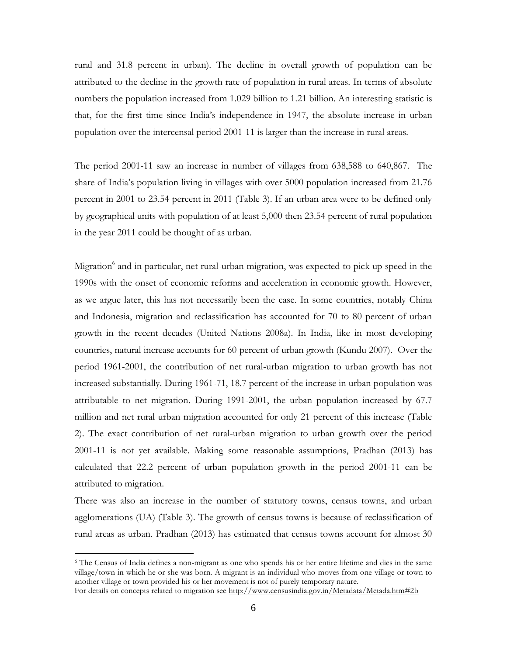rural and 31.8 percent in urban). The decline in overall growth of population can be attributed to the decline in the growth rate of population in rural areas. In terms of absolute numbers the population increased from 1.029 billion to 1.21 billion. An interesting statistic is that, for the first time since India's independence in 1947, the absolute increase in urban population over the intercensal period 2001-11 is larger than the increase in rural areas.

The period 2001-11 saw an increase in number of villages from 638,588 to 640,867. The share of India's population living in villages with over 5000 population increased from 21.76 percent in 2001 to 23.54 percent in 2011 (Table 3). If an urban area were to be defined only by geographical units with population of at least 5,000 then 23.54 percent of rural population in the year 2011 could be thought of as urban.

Migration<sup>6</sup> and in particular, net rural-urban migration, was expected to pick up speed in the 1990s with the onset of economic reforms and acceleration in economic growth. However, as we argue later, this has not necessarily been the case. In some countries, notably China and Indonesia, migration and reclassification has accounted for 70 to 80 percent of urban growth in the recent decades (United Nations 2008a). In India, like in most developing countries, natural increase accounts for 60 percent of urban growth (Kundu 2007). Over the period 1961-2001, the contribution of net rural-urban migration to urban growth has not increased substantially. During 1961-71, 18.7 percent of the increase in urban population was attributable to net migration. During 1991-2001, the urban population increased by 67.7 million and net rural urban migration accounted for only 21 percent of this increase (Table 2). The exact contribution of net rural-urban migration to urban growth over the period 2001-11 is not yet available. Making some reasonable assumptions, Pradhan (2013) has calculated that 22.2 percent of urban population growth in the period 2001-11 can be attributed to migration.

There was also an increase in the number of statutory towns, census towns, and urban agglomerations (UA) (Table 3). The growth of census towns is because of reclassification of rural areas as urban. Pradhan (2013) has estimated that census towns account for almost 30

 $\overline{a}$ 

<sup>6</sup> The Census of India defines a non-migrant as one who spends his or her entire lifetime and dies in the same village/town in which he or she was born. A migrant is an individual who moves from one village or town to another village or town provided his or her movement is not of purely temporary nature.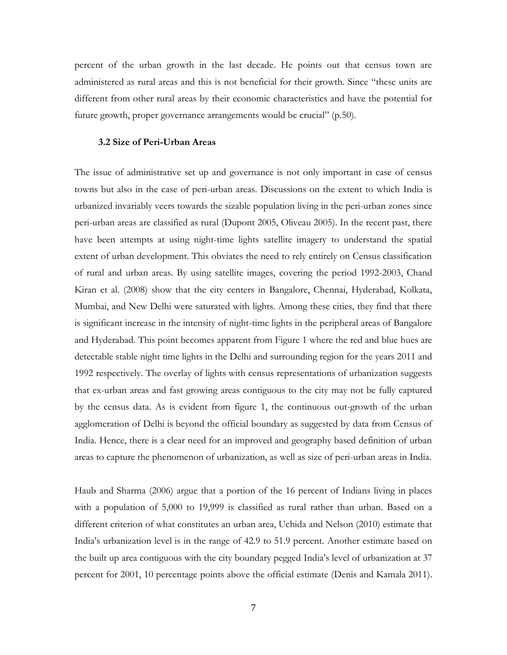percent of the urban growth in the last decade. He points out that census town are administered as rural areas and this is not beneficial for their growth. Since "these units are different from other rural areas by their economic characteristics and have the potential for future growth, proper governance arrangements would be crucial" (p.50).

#### **3.2 Size of Peri-Urban Areas**

The issue of administrative set up and governance is not only important in case of census towns but also in the case of peri-urban areas. Discussions on the extent to which India is urbanized invariably veers towards the sizable population living in the peri-urban zones since peri-urban areas are classified as rural (Dupont 2005, Oliveau 2005). In the recent past, there have been attempts at using night-time lights satellite imagery to understand the spatial extent of urban development. This obviates the need to rely entirely on Census classification of rural and urban areas. By using satellite images, covering the period 1992-2003, Chand Kiran et al. (2008) show that the city centers in Bangalore, Chennai, Hyderabad, Kolkata, Mumbai, and New Delhi were saturated with lights. Among these cities, they find that there is significant increase in the intensity of night-time lights in the peripheral areas of Bangalore and Hyderabad. This point becomes apparent from Figure 1 where the red and blue hues are detectable stable night time lights in the Delhi and surrounding region for the years 2011 and 1992 respectively. The overlay of lights with census representations of urbanization suggests that ex-urban areas and fast growing areas contiguous to the city may not be fully captured by the census data. As is evident from figure 1, the continuous out-growth of the urban agglomeration of Delhi is beyond the official boundary as suggested by data from Census of India. Hence, there is a clear need for an improved and geography based definition of urban areas to capture the phenomenon of urbanization, as well as size of peri-urban areas in India.

Haub and Sharma (2006) argue that a portion of the 16 percent of Indians living in places with a population of 5,000 to 19,999 is classified as rural rather than urban. Based on a different criterion of what constitutes an urban area, Uchida and Nelson (2010) estimate that India's urbanization level is in the range of 42.9 to 51.9 percent. Another estimate based on the built up area contiguous with the city boundary pegged India's level of urbanization at 37 percent for 2001, 10 percentage points above the official estimate (Denis and Kamala 2011).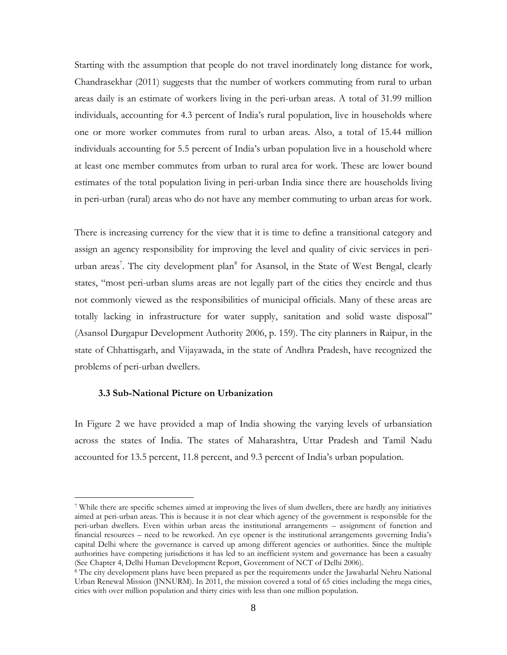Starting with the assumption that people do not travel inordinately long distance for work, Chandrasekhar (2011) suggests that the number of workers commuting from rural to urban areas daily is an estimate of workers living in the peri-urban areas. A total of 31.99 million individuals, accounting for 4.3 percent of India's rural population, live in households where one or more worker commutes from rural to urban areas. Also, a total of 15.44 million individuals accounting for 5.5 percent of India's urban population live in a household where at least one member commutes from urban to rural area for work. These are lower bound estimates of the total population living in peri-urban India since there are households living in peri-urban (rural) areas who do not have any member commuting to urban areas for work.

There is increasing currency for the view that it is time to define a transitional category and assign an agency responsibility for improving the level and quality of civic services in periurban areas<sup>7</sup>. The city development plan<sup>8</sup> for Asansol, in the State of West Bengal, clearly states, "most peri-urban slums areas are not legally part of the cities they encircle and thus not commonly viewed as the responsibilities of municipal officials. Many of these areas are totally lacking in infrastructure for water supply, sanitation and solid waste disposal" (Asansol Durgapur Development Authority 2006, p. 159). The city planners in Raipur, in the state of Chhattisgarh, and Vijayawada, in the state of Andhra Pradesh, have recognized the problems of peri-urban dwellers.

#### **3.3 Sub-National Picture on Urbanization**

 $\overline{a}$ 

In Figure 2 we have provided a map of India showing the varying levels of urbansiation across the states of India. The states of Maharashtra, Uttar Pradesh and Tamil Nadu accounted for 13.5 percent, 11.8 percent, and 9.3 percent of India's urban population.

<sup>7</sup> While there are specific schemes aimed at improving the lives of slum dwellers, there are hardly any initiatives aimed at peri-urban areas. This is because it is not clear which agency of the government is responsible for the peri-urban dwellers. Even within urban areas the institutional arrangements – assignment of function and financial resources – need to be reworked. An eye opener is the institutional arrangements governing India's capital Delhi where the governance is carved up among different agencies or authorities. Since the multiple authorities have competing jurisdictions it has led to an inefficient system and governance has been a casualty (See Chapter 4, Delhi Human Development Report, Government of NCT of Delhi 2006).

<sup>&</sup>lt;sup>8</sup> The city development plans have been prepared as per the requirements under the Jawaharlal Nehru National Urban Renewal Mission (JNNURM). In 2011, the mission covered a total of 65 cities including the mega cities, cities with over million population and thirty cities with less than one million population.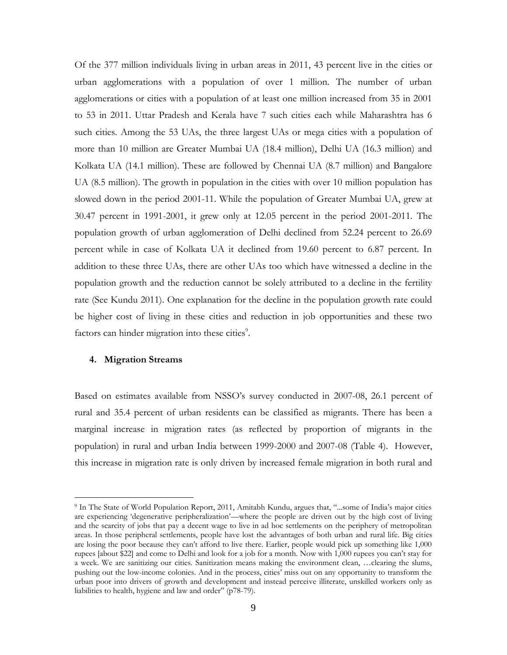Of the 377 million individuals living in urban areas in 2011, 43 percent live in the cities or urban agglomerations with a population of over 1 million. The number of urban agglomerations or cities with a population of at least one million increased from 35 in 2001 to 53 in 2011. Uttar Pradesh and Kerala have 7 such cities each while Maharashtra has 6 such cities. Among the 53 UAs, the three largest UAs or mega cities with a population of more than 10 million are Greater Mumbai UA (18.4 million), Delhi UA (16.3 million) and Kolkata UA (14.1 million). These are followed by Chennai UA (8.7 million) and Bangalore UA (8.5 million). The growth in population in the cities with over 10 million population has slowed down in the period 2001-11. While the population of Greater Mumbai UA, grew at 30.47 percent in 1991-2001, it grew only at 12.05 percent in the period 2001-2011. The population growth of urban agglomeration of Delhi declined from 52.24 percent to 26.69 percent while in case of Kolkata UA it declined from 19.60 percent to 6.87 percent. In addition to these three UAs, there are other UAs too which have witnessed a decline in the population growth and the reduction cannot be solely attributed to a decline in the fertility rate (See Kundu 2011). One explanation for the decline in the population growth rate could be higher cost of living in these cities and reduction in job opportunities and these two factors can hinder migration into these cities<sup>9</sup>.

#### **4. Migration Streams**

 $\overline{a}$ 

Based on estimates available from NSSO's survey conducted in 2007-08, 26.1 percent of rural and 35.4 percent of urban residents can be classified as migrants. There has been a marginal increase in migration rates (as reflected by proportion of migrants in the population) in rural and urban India between 1999-2000 and 2007-08 (Table 4). However, this increase in migration rate is only driven by increased female migration in both rural and

<sup>9</sup> In The State of World Population Report, 2011, Amitabh Kundu, argues that, "...some of India's major cities are experiencing 'degenerative peripheralization'—where the people are driven out by the high cost of living and the scarcity of jobs that pay a decent wage to live in ad hoc settlements on the periphery of metropolitan areas. In those peripheral settlements, people have lost the advantages of both urban and rural life. Big cities are losing the poor because they can't afford to live there. Earlier, people would pick up something like 1,000 rupees [about \$22] and come to Delhi and look for a job for a month. Now with 1,000 rupees you can't stay for a week. We are sanitizing our cities. Sanitization means making the environment clean, …clearing the slums, pushing out the low-income colonies. And in the process, cities' miss out on any opportunity to transform the urban poor into drivers of growth and development and instead perceive illiterate, unskilled workers only as liabilities to health, hygiene and law and order" (p78-79).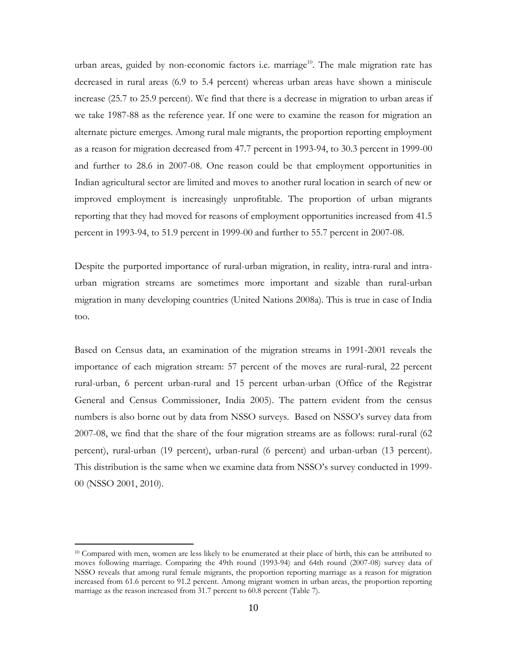urban areas, guided by non-economic factors i.e. marriage<sup>10</sup>. The male migration rate has decreased in rural areas (6.9 to 5.4 percent) whereas urban areas have shown a miniscule increase (25.7 to 25.9 percent). We find that there is a decrease in migration to urban areas if we take 1987-88 as the reference year. If one were to examine the reason for migration an alternate picture emerges. Among rural male migrants, the proportion reporting employment as a reason for migration decreased from 47.7 percent in 1993-94, to 30.3 percent in 1999-00 and further to 28.6 in 2007-08. One reason could be that employment opportunities in Indian agricultural sector are limited and moves to another rural location in search of new or improved employment is increasingly unprofitable. The proportion of urban migrants reporting that they had moved for reasons of employment opportunities increased from 41.5 percent in 1993-94, to 51.9 percent in 1999-00 and further to 55.7 percent in 2007-08.

Despite the purported importance of rural-urban migration, in reality, intra-rural and intraurban migration streams are sometimes more important and sizable than rural-urban migration in many developing countries (United Nations 2008a). This is true in case of India too.

Based on Census data, an examination of the migration streams in 1991-2001 reveals the importance of each migration stream: 57 percent of the moves are rural-rural, 22 percent rural-urban, 6 percent urban-rural and 15 percent urban-urban (Office of the Registrar General and Census Commissioner, India 2005). The pattern evident from the census numbers is also borne out by data from NSSO surveys. Based on NSSO's survey data from 2007-08, we find that the share of the four migration streams are as follows: rural-rural (62 percent), rural-urban (19 percent), urban-rural (6 percent) and urban-urban (13 percent). This distribution is the same when we examine data from NSSO's survey conducted in 1999- 00 (NSSO 2001, 2010).

 $\overline{a}$ 

<sup>&</sup>lt;sup>10</sup> Compared with men, women are less likely to be enumerated at their place of birth, this can be attributed to moves following marriage. Comparing the 49th round (1993-94) and 64th round (2007-08) survey data of NSSO reveals that among rural female migrants, the proportion reporting marriage as a reason for migration increased from 61.6 percent to 91.2 percent. Among migrant women in urban areas, the proportion reporting marriage as the reason increased from 31.7 percent to 60.8 percent (Table 7).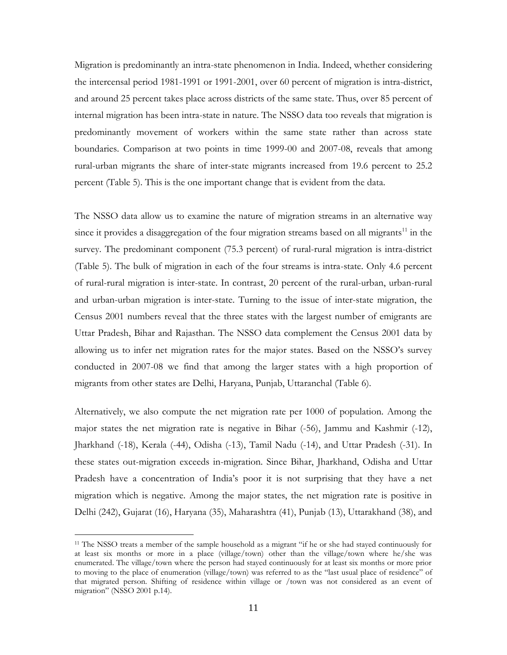Migration is predominantly an intra-state phenomenon in India. Indeed, whether considering the intercensal period 1981-1991 or 1991-2001, over 60 percent of migration is intra-district, and around 25 percent takes place across districts of the same state. Thus, over 85 percent of internal migration has been intra-state in nature. The NSSO data too reveals that migration is predominantly movement of workers within the same state rather than across state boundaries. Comparison at two points in time 1999-00 and 2007-08, reveals that among rural-urban migrants the share of inter-state migrants increased from 19.6 percent to 25.2 percent (Table 5). This is the one important change that is evident from the data.

The NSSO data allow us to examine the nature of migration streams in an alternative way since it provides a disaggregation of the four migration streams based on all migrants<sup>11</sup> in the survey. The predominant component (75.3 percent) of rural-rural migration is intra-district (Table 5). The bulk of migration in each of the four streams is intra-state. Only 4.6 percent of rural-rural migration is inter-state. In contrast, 20 percent of the rural-urban, urban-rural and urban-urban migration is inter-state. Turning to the issue of inter-state migration, the Census 2001 numbers reveal that the three states with the largest number of emigrants are Uttar Pradesh, Bihar and Rajasthan. The NSSO data complement the Census 2001 data by allowing us to infer net migration rates for the major states. Based on the NSSO's survey conducted in 2007-08 we find that among the larger states with a high proportion of migrants from other states are Delhi, Haryana, Punjab, Uttaranchal (Table 6).

Alternatively, we also compute the net migration rate per 1000 of population. Among the major states the net migration rate is negative in Bihar (-56), Jammu and Kashmir (-12), Jharkhand (-18), Kerala (-44), Odisha (-13), Tamil Nadu (-14), and Uttar Pradesh (-31). In these states out-migration exceeds in-migration. Since Bihar, Jharkhand, Odisha and Uttar Pradesh have a concentration of India's poor it is not surprising that they have a net migration which is negative. Among the major states, the net migration rate is positive in Delhi (242), Gujarat (16), Haryana (35), Maharashtra (41), Punjab (13), Uttarakhand (38), and

 $\overline{a}$ 

<sup>&</sup>lt;sup>11</sup> The NSSO treats a member of the sample household as a migrant "if he or she had stayed continuously for at least six months or more in a place (village/town) other than the village/town where he/she was enumerated. The village/town where the person had stayed continuously for at least six months or more prior to moving to the place of enumeration (village/town) was referred to as the "last usual place of residence" of that migrated person. Shifting of residence within village or /town was not considered as an event of migration" (NSSO 2001 p.14).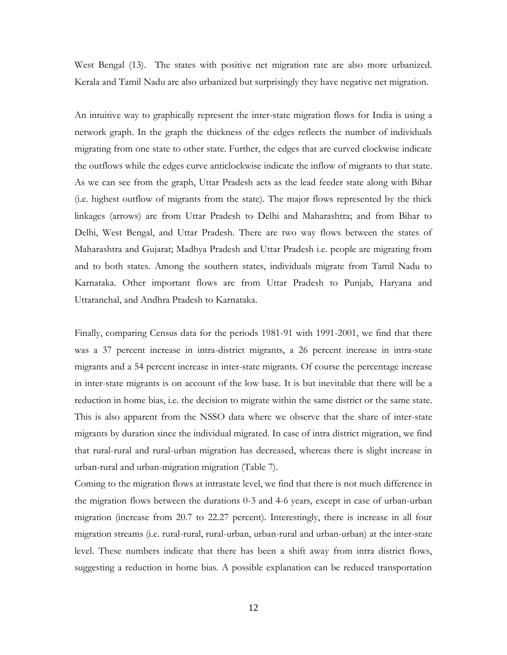West Bengal (13). The states with positive net migration rate are also more urbanized. Kerala and Tamil Nadu are also urbanized but surprisingly they have negative net migration.

An intuitive way to graphically represent the inter-state migration flows for India is using a network graph. In the graph the thickness of the edges reflects the number of individuals migrating from one state to other state. Further, the edges that are curved clockwise indicate the outflows while the edges curve anticlockwise indicate the inflow of migrants to that state. As we can see from the graph, Uttar Pradesh acts as the lead feeder state along with Bihar (i.e. highest outflow of migrants from the state). The major flows represented by the thick linkages (arrows) are from Uttar Pradesh to Delhi and Maharashtra; and from Bihar to Delhi, West Bengal, and Uttar Pradesh. There are two way flows between the states of Maharashtra and Gujarat; Madhya Pradesh and Uttar Pradesh i.e. people are migrating from and to both states. Among the southern states, individuals migrate from Tamil Nadu to Karnataka. Other important flows are from Uttar Pradesh to Punjab, Haryana and Uttaranchal, and Andhra Pradesh to Karnataka.

Finally, comparing Census data for the periods 1981-91 with 1991-2001, we find that there was a 37 percent increase in intra-district migrants, a 26 percent increase in intra-state migrants and a 54 percent increase in inter-state migrants. Of course the percentage increase in inter-state migrants is on account of the low base. It is but inevitable that there will be a reduction in home bias, i.e. the decision to migrate within the same district or the same state. This is also apparent from the NSSO data where we observe that the share of inter-state migrants by duration since the individual migrated. In case of intra district migration, we find that rural-rural and rural-urban migration has decreased, whereas there is slight increase in urban-rural and urban-migration migration (Table 7).

Coming to the migration flows at intrastate level, we find that there is not much difference in the migration flows between the durations 0-3 and 4-6 years, except in case of urban-urban migration (increase from 20.7 to 22.27 percent). Interestingly, there is increase in all four migration streams (i.e. rural-rural, rural-urban, urban-rural and urban-urban) at the inter-state level. These numbers indicate that there has been a shift away from intra district flows, suggesting a reduction in home bias. A possible explanation can be reduced transportation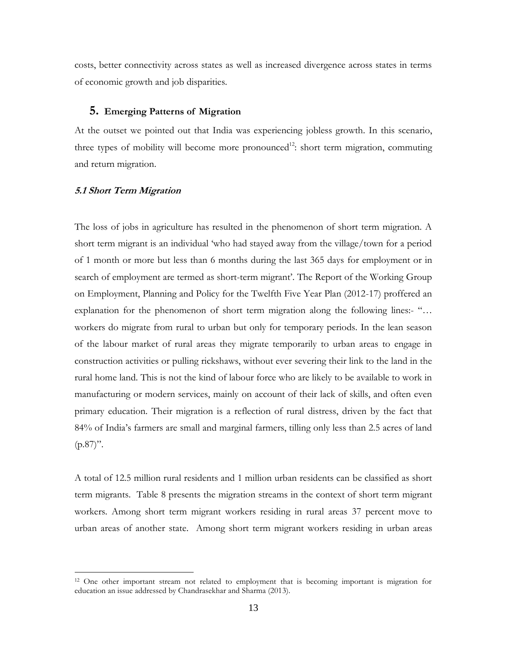costs, better connectivity across states as well as increased divergence across states in terms of economic growth and job disparities.

#### **5. Emerging Patterns of Migration**

At the outset we pointed out that India was experiencing jobless growth. In this scenario, three types of mobility will become more pronounced<sup>12</sup>: short term migration, commuting and return migration.

#### **5.1 Short Term Migration**

 $\overline{a}$ 

The loss of jobs in agriculture has resulted in the phenomenon of short term migration. A short term migrant is an individual 'who had stayed away from the village/town for a period of 1 month or more but less than 6 months during the last 365 days for employment or in search of employment are termed as short-term migrant'. The Report of the Working Group on Employment, Planning and Policy for the Twelfth Five Year Plan (2012-17) proffered an explanation for the phenomenon of short term migration along the following lines:- "… workers do migrate from rural to urban but only for temporary periods. In the lean season of the labour market of rural areas they migrate temporarily to urban areas to engage in construction activities or pulling rickshaws, without ever severing their link to the land in the rural home land. This is not the kind of labour force who are likely to be available to work in manufacturing or modern services, mainly on account of their lack of skills, and often even primary education. Their migration is a reflection of rural distress, driven by the fact that 84% of India's farmers are small and marginal farmers, tilling only less than 2.5 acres of land  $(p.87)$ ".

A total of 12.5 million rural residents and 1 million urban residents can be classified as short term migrants. Table 8 presents the migration streams in the context of short term migrant workers. Among short term migrant workers residing in rural areas 37 percent move to urban areas of another state. Among short term migrant workers residing in urban areas

<sup>&</sup>lt;sup>12</sup> One other important stream not related to employment that is becoming important is migration for education an issue addressed by Chandrasekhar and Sharma (2013).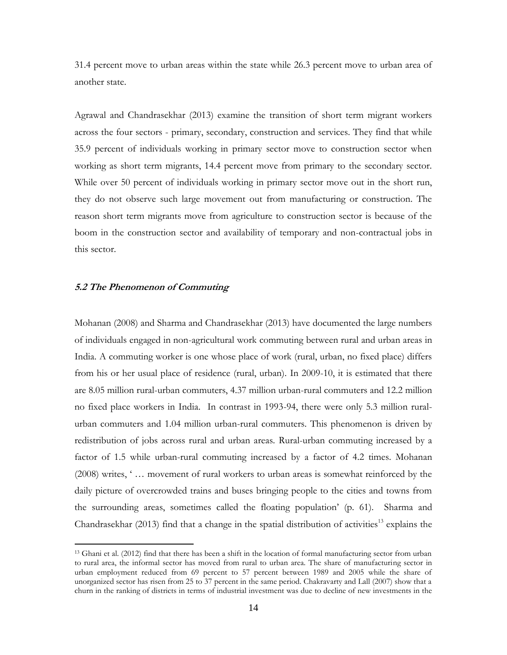31.4 percent move to urban areas within the state while 26.3 percent move to urban area of another state.

Agrawal and Chandrasekhar (2013) examine the transition of short term migrant workers across the four sectors - primary, secondary, construction and services. They find that while 35.9 percent of individuals working in primary sector move to construction sector when working as short term migrants, 14.4 percent move from primary to the secondary sector. While over 50 percent of individuals working in primary sector move out in the short run, they do not observe such large movement out from manufacturing or construction. The reason short term migrants move from agriculture to construction sector is because of the boom in the construction sector and availability of temporary and non-contractual jobs in this sector.

#### **5.2 The Phenomenon of Commuting**

 $\overline{a}$ 

Mohanan (2008) and Sharma and Chandrasekhar (2013) have documented the large numbers of individuals engaged in non-agricultural work commuting between rural and urban areas in India. A commuting worker is one whose place of work (rural, urban, no fixed place) differs from his or her usual place of residence (rural, urban). In 2009-10, it is estimated that there are 8.05 million rural-urban commuters, 4.37 million urban-rural commuters and 12.2 million no fixed place workers in India. In contrast in 1993-94, there were only 5.3 million ruralurban commuters and 1.04 million urban-rural commuters. This phenomenon is driven by redistribution of jobs across rural and urban areas. Rural-urban commuting increased by a factor of 1.5 while urban-rural commuting increased by a factor of 4.2 times. Mohanan (2008) writes, ' … movement of rural workers to urban areas is somewhat reinforced by the daily picture of overcrowded trains and buses bringing people to the cities and towns from the surrounding areas, sometimes called the floating population' (p. 61). Sharma and Chandrasekhar (2013) find that a change in the spatial distribution of activities<sup>13</sup> explains the

<sup>&</sup>lt;sup>13</sup> Ghani et al. (2012) find that there has been a shift in the location of formal manufacturing sector from urban to rural area, the informal sector has moved from rural to urban area. The share of manufacturing sector in urban employment reduced from 69 percent to 57 percent between 1989 and 2005 while the share of unorganized sector has risen from 25 to 37 percent in the same period. Chakravarty and Lall (2007) show that a churn in the ranking of districts in terms of industrial investment was due to decline of new investments in the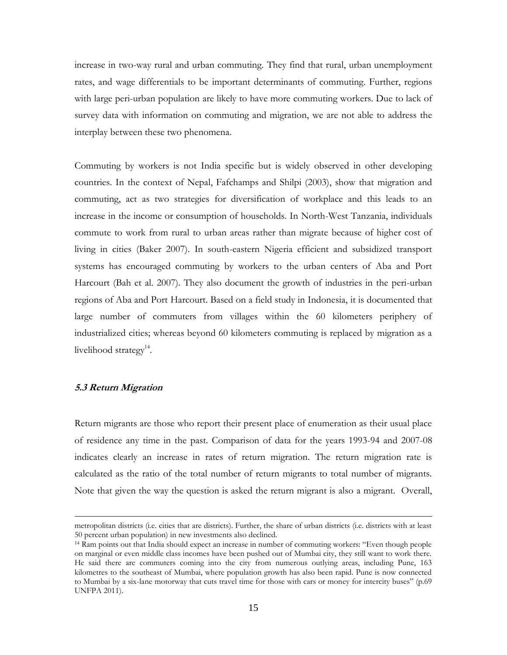increase in two-way rural and urban commuting. They find that rural, urban unemployment rates, and wage differentials to be important determinants of commuting. Further, regions with large peri-urban population are likely to have more commuting workers. Due to lack of survey data with information on commuting and migration, we are not able to address the interplay between these two phenomena.

Commuting by workers is not India specific but is widely observed in other developing countries. In the context of Nepal, Fafchamps and Shilpi (2003), show that migration and commuting, act as two strategies for diversification of workplace and this leads to an increase in the income or consumption of households. In North-West Tanzania, individuals commute to work from rural to urban areas rather than migrate because of higher cost of living in cities (Baker 2007). In south-eastern Nigeria efficient and subsidized transport systems has encouraged commuting by workers to the urban centers of Aba and Port Harcourt (Bah et al. 2007). They also document the growth of industries in the peri-urban regions of Aba and Port Harcourt. Based on a field study in Indonesia, it is documented that large number of commuters from villages within the 60 kilometers periphery of industrialized cities; whereas beyond 60 kilometers commuting is replaced by migration as a livelihood strategy<sup>14</sup>.

## **5.3 Return Migration**

 $\overline{a}$ 

Return migrants are those who report their present place of enumeration as their usual place of residence any time in the past. Comparison of data for the years 1993-94 and 2007-08 indicates clearly an increase in rates of return migration. The return migration rate is calculated as the ratio of the total number of return migrants to total number of migrants. Note that given the way the question is asked the return migrant is also a migrant. Overall,

metropolitan districts (i.e. cities that are districts). Further, the share of urban districts (i.e. districts with at least 50 percent urban population) in new investments also declined.

<sup>14</sup> Ram points out that India should expect an increase in number of commuting workers: "Even though people on marginal or even middle class incomes have been pushed out of Mumbai city, they still want to work there. He said there are commuters coming into the city from numerous outlying areas, including Pune, 163 kilometres to the southeast of Mumbai, where population growth has also been rapid. Pune is now connected to Mumbai by a six-lane motorway that cuts travel time for those with cars or money for intercity buses" (p.69 UNFPA 2011).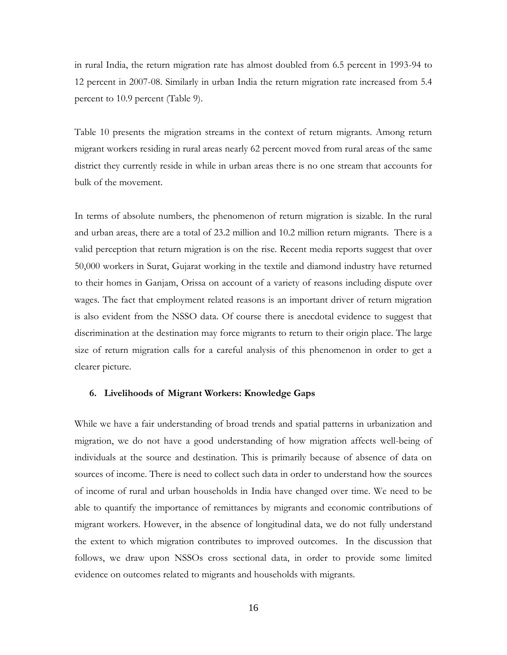in rural India, the return migration rate has almost doubled from 6.5 percent in 1993-94 to 12 percent in 2007-08. Similarly in urban India the return migration rate increased from 5.4 percent to 10.9 percent (Table 9).

Table 10 presents the migration streams in the context of return migrants. Among return migrant workers residing in rural areas nearly 62 percent moved from rural areas of the same district they currently reside in while in urban areas there is no one stream that accounts for bulk of the movement.

In terms of absolute numbers, the phenomenon of return migration is sizable. In the rural and urban areas, there are a total of 23.2 million and 10.2 million return migrants. There is a valid perception that return migration is on the rise. Recent media reports suggest that over 50,000 workers in Surat, Gujarat working in the textile and diamond industry have returned to their homes in Ganjam, Orissa on account of a variety of reasons including dispute over wages. The fact that employment related reasons is an important driver of return migration is also evident from the NSSO data. Of course there is anecdotal evidence to suggest that discrimination at the destination may force migrants to return to their origin place. The large size of return migration calls for a careful analysis of this phenomenon in order to get a clearer picture.

#### **6. Livelihoods of Migrant Workers: Knowledge Gaps**

While we have a fair understanding of broad trends and spatial patterns in urbanization and migration, we do not have a good understanding of how migration affects well-being of individuals at the source and destination. This is primarily because of absence of data on sources of income. There is need to collect such data in order to understand how the sources of income of rural and urban households in India have changed over time. We need to be able to quantify the importance of remittances by migrants and economic contributions of migrant workers. However, in the absence of longitudinal data, we do not fully understand the extent to which migration contributes to improved outcomes. In the discussion that follows, we draw upon NSSOs cross sectional data, in order to provide some limited evidence on outcomes related to migrants and households with migrants.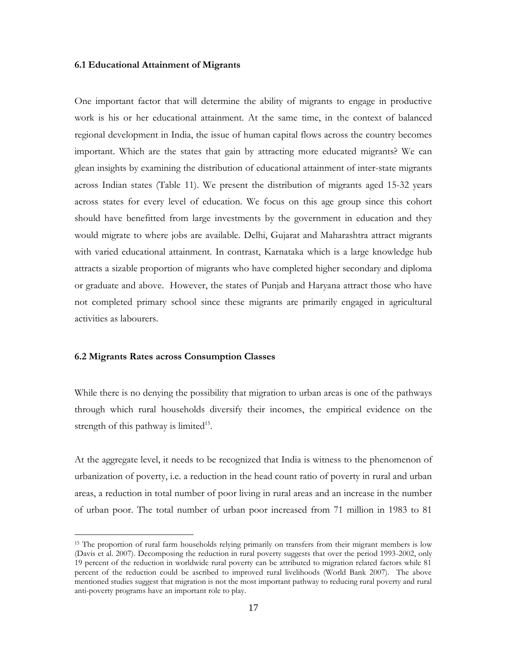#### **6.1 Educational Attainment of Migrants**

One important factor that will determine the ability of migrants to engage in productive work is his or her educational attainment. At the same time, in the context of balanced regional development in India, the issue of human capital flows across the country becomes important. Which are the states that gain by attracting more educated migrants? We can glean insights by examining the distribution of educational attainment of inter-state migrants across Indian states (Table 11). We present the distribution of migrants aged 15-32 years across states for every level of education. We focus on this age group since this cohort should have benefitted from large investments by the government in education and they would migrate to where jobs are available. Delhi, Gujarat and Maharashtra attract migrants with varied educational attainment. In contrast, Karnataka which is a large knowledge hub attracts a sizable proportion of migrants who have completed higher secondary and diploma or graduate and above. However, the states of Punjab and Haryana attract those who have not completed primary school since these migrants are primarily engaged in agricultural activities as labourers.

#### **6.2 Migrants Rates across Consumption Classes**

 $\overline{a}$ 

While there is no denying the possibility that migration to urban areas is one of the pathways through which rural households diversify their incomes, the empirical evidence on the strength of this pathway is limited<sup>15</sup>.

At the aggregate level, it needs to be recognized that India is witness to the phenomenon of urbanization of poverty, i.e. a reduction in the head count ratio of poverty in rural and urban areas, a reduction in total number of poor living in rural areas and an increase in the number of urban poor. The total number of urban poor increased from 71 million in 1983 to 81

<sup>&</sup>lt;sup>15</sup> The proportion of rural farm households relying primarily on transfers from their migrant members is low (Davis et al. 2007). Decomposing the reduction in rural poverty suggests that over the period 1993-2002, only 19 percent of the reduction in worldwide rural poverty can be attributed to migration related factors while 81 percent of the reduction could be ascribed to improved rural livelihoods (World Bank 2007). The above mentioned studies suggest that migration is not the most important pathway to reducing rural poverty and rural anti-poverty programs have an important role to play.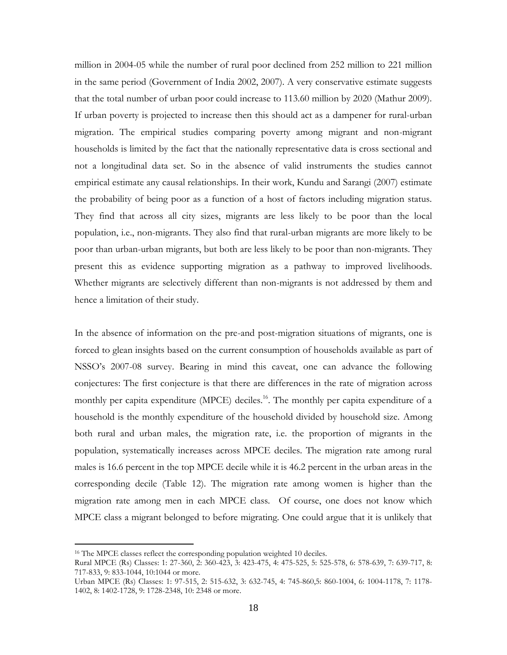million in 2004-05 while the number of rural poor declined from 252 million to 221 million in the same period (Government of India 2002, 2007). A very conservative estimate suggests that the total number of urban poor could increase to 113.60 million by 2020 (Mathur 2009). If urban poverty is projected to increase then this should act as a dampener for rural-urban migration. The empirical studies comparing poverty among migrant and non-migrant households is limited by the fact that the nationally representative data is cross sectional and not a longitudinal data set. So in the absence of valid instruments the studies cannot empirical estimate any causal relationships. In their work, Kundu and Sarangi (2007) estimate the probability of being poor as a function of a host of factors including migration status. They find that across all city sizes, migrants are less likely to be poor than the local population, i.e., non-migrants. They also find that rural-urban migrants are more likely to be poor than urban-urban migrants, but both are less likely to be poor than non-migrants. They present this as evidence supporting migration as a pathway to improved livelihoods. Whether migrants are selectively different than non-migrants is not addressed by them and hence a limitation of their study.

In the absence of information on the pre-and post-migration situations of migrants, one is forced to glean insights based on the current consumption of households available as part of NSSO's 2007-08 survey. Bearing in mind this caveat, one can advance the following conjectures: The first conjecture is that there are differences in the rate of migration across monthly per capita expenditure (MPCE) deciles. <sup>16</sup>. The monthly per capita expenditure of a household is the monthly expenditure of the household divided by household size. Among both rural and urban males, the migration rate, i.e. the proportion of migrants in the population, systematically increases across MPCE deciles. The migration rate among rural males is 16.6 percent in the top MPCE decile while it is 46.2 percent in the urban areas in the corresponding decile (Table 12). The migration rate among women is higher than the migration rate among men in each MPCE class. Of course, one does not know which MPCE class a migrant belonged to before migrating. One could argue that it is unlikely that

 $\overline{a}$ 

<sup>&</sup>lt;sup>16</sup> The MPCE classes reflect the corresponding population weighted 10 deciles.

Rural MPCE (Rs) Classes: 1: 27-360, 2: 360-423, 3: 423-475, 4: 475-525, 5: 525-578, 6: 578-639, 7: 639-717, 8: 717-833, 9: 833-1044, 10:1044 or more.

Urban MPCE (Rs) Classes: 1: 97-515, 2: 515-632, 3: 632-745, 4: 745-860,5: 860-1004, 6: 1004-1178, 7: 1178- 1402, 8: 1402-1728, 9: 1728-2348, 10: 2348 or more.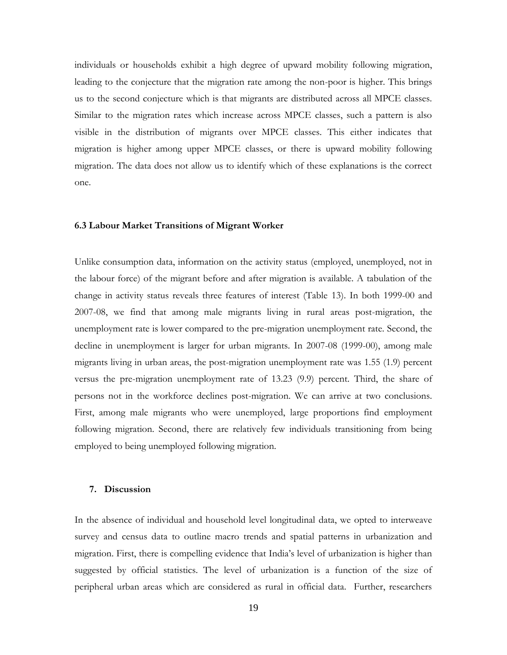individuals or households exhibit a high degree of upward mobility following migration, leading to the conjecture that the migration rate among the non-poor is higher. This brings us to the second conjecture which is that migrants are distributed across all MPCE classes. Similar to the migration rates which increase across MPCE classes, such a pattern is also visible in the distribution of migrants over MPCE classes. This either indicates that migration is higher among upper MPCE classes, or there is upward mobility following migration. The data does not allow us to identify which of these explanations is the correct one.

#### **6.3 Labour Market Transitions of Migrant Worker**

Unlike consumption data, information on the activity status (employed, unemployed, not in the labour force) of the migrant before and after migration is available. A tabulation of the change in activity status reveals three features of interest (Table 13). In both 1999-00 and 2007-08, we find that among male migrants living in rural areas post-migration, the unemployment rate is lower compared to the pre-migration unemployment rate. Second, the decline in unemployment is larger for urban migrants. In 2007-08 (1999-00), among male migrants living in urban areas, the post-migration unemployment rate was 1.55 (1.9) percent versus the pre-migration unemployment rate of 13.23 (9.9) percent. Third, the share of persons not in the workforce declines post-migration. We can arrive at two conclusions. First, among male migrants who were unemployed, large proportions find employment following migration. Second, there are relatively few individuals transitioning from being employed to being unemployed following migration.

#### **7. Discussion**

In the absence of individual and household level longitudinal data, we opted to interweave survey and census data to outline macro trends and spatial patterns in urbanization and migration. First, there is compelling evidence that India's level of urbanization is higher than suggested by official statistics. The level of urbanization is a function of the size of peripheral urban areas which are considered as rural in official data. Further, researchers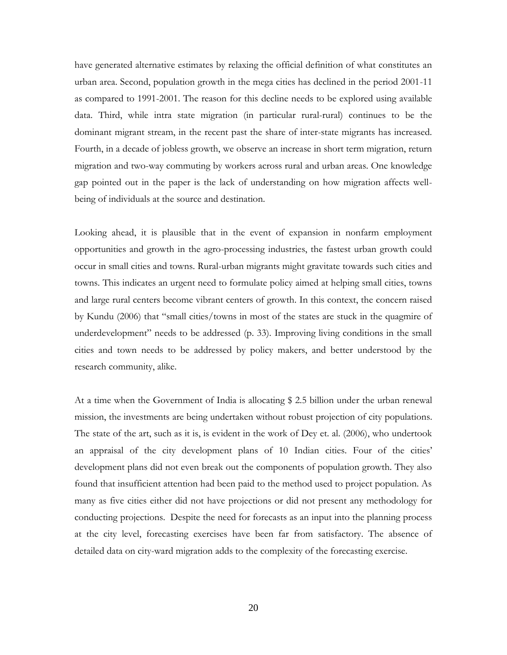have generated alternative estimates by relaxing the official definition of what constitutes an urban area. Second, population growth in the mega cities has declined in the period 2001-11 as compared to 1991-2001. The reason for this decline needs to be explored using available data. Third, while intra state migration (in particular rural-rural) continues to be the dominant migrant stream, in the recent past the share of inter-state migrants has increased. Fourth, in a decade of jobless growth, we observe an increase in short term migration, return migration and two-way commuting by workers across rural and urban areas. One knowledge gap pointed out in the paper is the lack of understanding on how migration affects wellbeing of individuals at the source and destination.

Looking ahead, it is plausible that in the event of expansion in nonfarm employment opportunities and growth in the agro-processing industries, the fastest urban growth could occur in small cities and towns. Rural-urban migrants might gravitate towards such cities and towns. This indicates an urgent need to formulate policy aimed at helping small cities, towns and large rural centers become vibrant centers of growth. In this context, the concern raised by Kundu (2006) that "small cities/towns in most of the states are stuck in the quagmire of underdevelopment" needs to be addressed (p. 33). Improving living conditions in the small cities and town needs to be addressed by policy makers, and better understood by the research community, alike.

At a time when the Government of India is allocating \$ 2.5 billion under the urban renewal mission, the investments are being undertaken without robust projection of city populations. The state of the art, such as it is, is evident in the work of Dey et. al. (2006), who undertook an appraisal of the city development plans of 10 Indian cities. Four of the cities' development plans did not even break out the components of population growth. They also found that insufficient attention had been paid to the method used to project population. As many as five cities either did not have projections or did not present any methodology for conducting projections. Despite the need for forecasts as an input into the planning process at the city level, forecasting exercises have been far from satisfactory. The absence of detailed data on city-ward migration adds to the complexity of the forecasting exercise.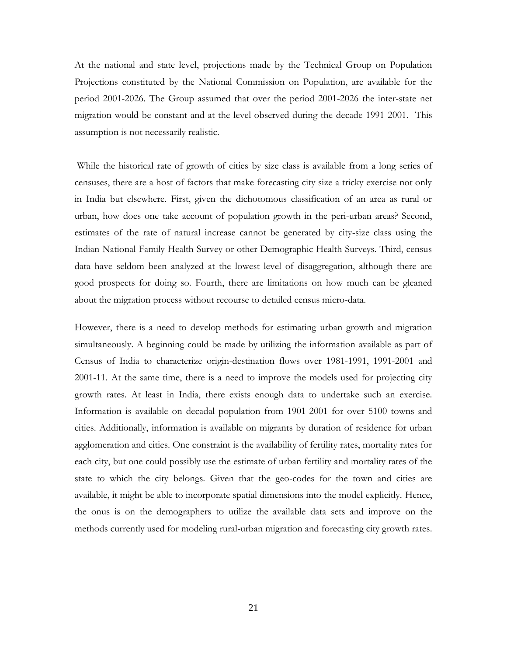At the national and state level, projections made by the Technical Group on Population Projections constituted by the National Commission on Population, are available for the period 2001-2026. The Group assumed that over the period 2001-2026 the inter-state net migration would be constant and at the level observed during the decade 1991-2001. This assumption is not necessarily realistic.

While the historical rate of growth of cities by size class is available from a long series of censuses, there are a host of factors that make forecasting city size a tricky exercise not only in India but elsewhere. First, given the dichotomous classification of an area as rural or urban, how does one take account of population growth in the peri-urban areas? Second, estimates of the rate of natural increase cannot be generated by city-size class using the Indian National Family Health Survey or other Demographic Health Surveys. Third, census data have seldom been analyzed at the lowest level of disaggregation, although there are good prospects for doing so. Fourth, there are limitations on how much can be gleaned about the migration process without recourse to detailed census micro-data.

However, there is a need to develop methods for estimating urban growth and migration simultaneously. A beginning could be made by utilizing the information available as part of Census of India to characterize origin-destination flows over 1981-1991, 1991-2001 and 2001-11. At the same time, there is a need to improve the models used for projecting city growth rates. At least in India, there exists enough data to undertake such an exercise. Information is available on decadal population from 1901-2001 for over 5100 towns and cities. Additionally, information is available on migrants by duration of residence for urban agglomeration and cities. One constraint is the availability of fertility rates, mortality rates for each city, but one could possibly use the estimate of urban fertility and mortality rates of the state to which the city belongs. Given that the geo-codes for the town and cities are available, it might be able to incorporate spatial dimensions into the model explicitly. Hence, the onus is on the demographers to utilize the available data sets and improve on the methods currently used for modeling rural-urban migration and forecasting city growth rates.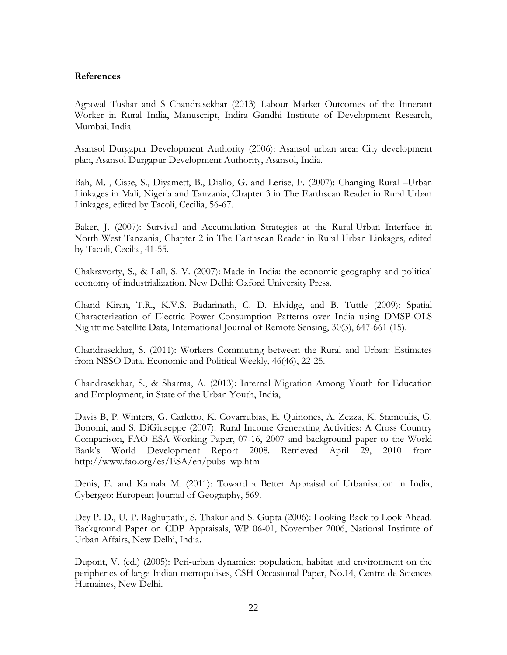## **References**

Agrawal Tushar and S Chandrasekhar (2013) Labour Market Outcomes of the Itinerant Worker in Rural India, Manuscript, Indira Gandhi Institute of Development Research, Mumbai, India

Asansol Durgapur Development Authority (2006): Asansol urban area: City development plan, Asansol Durgapur Development Authority, Asansol, India.

Bah, M. , Cisse, S., Diyamett, B., Diallo, G. and Lerise, F. (2007): Changing Rural –Urban Linkages in Mali, Nigeria and Tanzania, Chapter 3 in The Earthscan Reader in Rural Urban Linkages, edited by Tacoli, Cecilia, 56-67.

Baker, J. (2007): Survival and Accumulation Strategies at the Rural-Urban Interface in North-West Tanzania, Chapter 2 in The Earthscan Reader in Rural Urban Linkages, edited by Tacoli, Cecilia, 41-55.

Chakravorty, S., & Lall, S. V. (2007): Made in India: the economic geography and political economy of industrialization. New Delhi: Oxford University Press.

Chand Kiran, T.R., K.V.S. Badarinath, C. D. Elvidge, and B. Tuttle (2009): Spatial Characterization of Electric Power Consumption Patterns over India using DMSP-OLS Nighttime Satellite Data, International Journal of Remote Sensing, 30(3), 647-661 (15).

Chandrasekhar, S. (2011): Workers Commuting between the Rural and Urban: Estimates from NSSO Data. Economic and Political Weekly, 46(46), 22-25.

Chandrasekhar, S., & Sharma, A. (2013): Internal Migration Among Youth for Education and Employment, in State of the Urban Youth, India,

Davis B, P. Winters, G. Carletto, K. Covarrubias, E. Quinones, A. Zezza, K. Stamoulis, G. Bonomi, and S. DiGiuseppe (2007): Rural Income Generating Activities: A Cross Country Comparison, FAO ESA Working Paper, 07-16, 2007 and background paper to the World Bank's World Development Report 2008. Retrieved April 29, 2010 from http://www.fao.org/es/ESA/en/pubs\_wp.htm

Denis, E. and Kamala M. (2011): Toward a Better Appraisal of Urbanisation in India, Cybergeo: European Journal of Geography, 569.

Dey P. D., U. P. Raghupathi, S. Thakur and S. Gupta (2006): Looking Back to Look Ahead. Background Paper on CDP Appraisals, WP 06-01, November 2006, National Institute of Urban Affairs, New Delhi, India.

Dupont, V. (ed.) (2005): Peri-urban dynamics: population, habitat and environment on the peripheries of large Indian metropolises, CSH Occasional Paper, No.14, Centre de Sciences Humaines, New Delhi.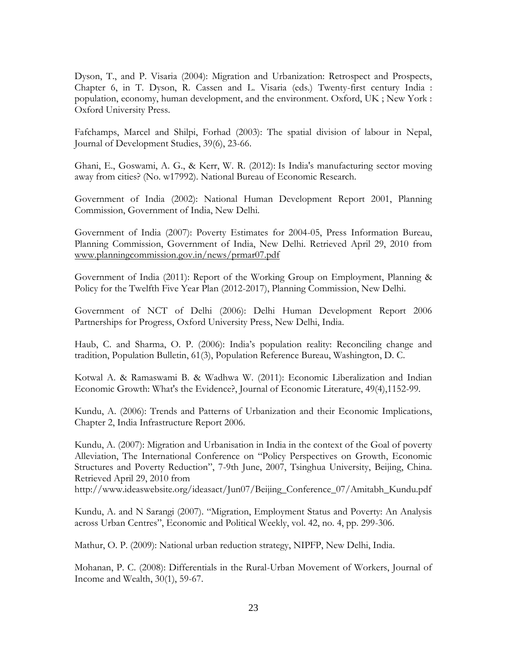Dyson, T., and P. Visaria (2004): Migration and Urbanization: Retrospect and Prospects, Chapter 6, in T. Dyson, R. Cassen and L. Visaria (eds.) Twenty-first century India : population, economy, human development, and the environment. Oxford, UK ; New York : Oxford University Press.

Fafchamps, Marcel and Shilpi, Forhad (2003): The spatial division of labour in Nepal, Journal of Development Studies, 39(6), 23-66.

Ghani, E., Goswami, A. G., & Kerr, W. R. (2012): Is India's manufacturing sector moving away from cities? (No. w17992). National Bureau of Economic Research.

Government of India (2002): National Human Development Report 2001, Planning Commission, Government of India, New Delhi.

Government of India (2007): Poverty Estimates for 2004-05, Press Information Bureau, Planning Commission, Government of India, New Delhi. Retrieved April 29, 2010 from [www.planningcommission.gov.in/news/prmar07.pdf](http://www.planningcommission.gov.in/news/prmar07.pdf)

Government of India (2011): Report of the Working Group on Employment, Planning & Policy for the Twelfth Five Year Plan (2012-2017), Planning Commission, New Delhi.

Government of NCT of Delhi (2006): Delhi Human Development Report 2006 Partnerships for Progress, Oxford University Press, New Delhi, India.

Haub, C. and Sharma, O. P. (2006): India's population reality: Reconciling change and tradition, Population Bulletin, 61(3), Population Reference Bureau, Washington, D. C.

Kotwal A. & Ramaswami B. & Wadhwa W. (2011): Economic Liberalization and Indian Economic Growth: What's the Evidence?, Journal of Economic Literature, 49(4),1152-99.

Kundu, A. (2006): Trends and Patterns of Urbanization and their Economic Implications, Chapter 2, India Infrastructure Report 2006.

Kundu, A. (2007): Migration and Urbanisation in India in the context of the Goal of poverty Alleviation, The International Conference on "Policy Perspectives on Growth, Economic Structures and Poverty Reduction", 7-9th June, 2007, Tsinghua University, Beijing, China. Retrieved April 29, 2010 from

http://www.ideaswebsite.org/ideasact/Jun07/Beijing\_Conference\_07/Amitabh\_Kundu.pdf

Kundu, A. and N Sarangi (2007). "Migration, Employment Status and Poverty: An Analysis across Urban Centres", Economic and Political Weekly, vol. 42, no. 4, pp. 299-306.

Mathur, O. P. (2009): National urban reduction strategy, NIPFP, New Delhi, India.

Mohanan, P. C. (2008): Differentials in the Rural-Urban Movement of Workers, Journal of Income and Wealth, 30(1), 59-67.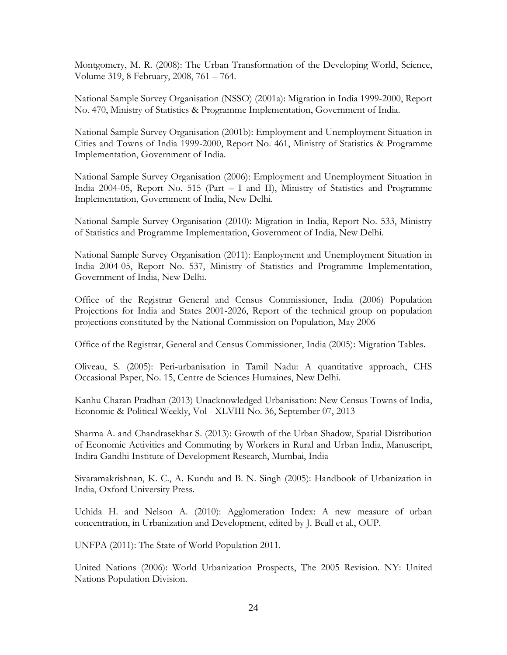Montgomery, M. R. (2008): The Urban Transformation of the Developing World, Science, Volume 319, 8 February, 2008, 761 – 764.

National Sample Survey Organisation (NSSO) (2001a): Migration in India 1999-2000, Report No. 470, Ministry of Statistics & Programme Implementation, Government of India.

National Sample Survey Organisation (2001b): Employment and Unemployment Situation in Cities and Towns of India 1999-2000, Report No. 461, Ministry of Statistics & Programme Implementation, Government of India.

National Sample Survey Organisation (2006): Employment and Unemployment Situation in India 2004-05, Report No. 515 (Part – I and II), Ministry of Statistics and Programme Implementation, Government of India, New Delhi.

National Sample Survey Organisation (2010): Migration in India, Report No. 533, Ministry of Statistics and Programme Implementation, Government of India, New Delhi.

National Sample Survey Organisation (2011): Employment and Unemployment Situation in India 2004-05, Report No. 537, Ministry of Statistics and Programme Implementation, Government of India, New Delhi.

Office of the Registrar General and Census Commissioner, India (2006) Population Projections for India and States 2001-2026, Report of the technical group on population projections constituted by the National Commission on Population, May 2006

Office of the Registrar, General and Census Commissioner, India (2005): Migration Tables.

Oliveau, S. (2005): Peri-urbanisation in Tamil Nadu: A quantitative approach, CHS Occasional Paper, No. 15, Centre de Sciences Humaines, New Delhi.

Kanhu Charan Pradhan (2013) Unacknowledged Urbanisation: New Census Towns of India, Economic & Political Weekly, Vol - XLVIII No. 36, September 07, 2013

Sharma A. and Chandrasekhar S. (2013): Growth of the Urban Shadow, Spatial Distribution of Economic Activities and Commuting by Workers in Rural and Urban India, Manuscript, Indira Gandhi Institute of Development Research, Mumbai, India

Sivaramakrishnan, K. C., A. Kundu and B. N. Singh (2005): Handbook of Urbanization in India, Oxford University Press.

Uchida H. and Nelson A. (2010): Agglomeration Index: A new measure of urban concentration, in Urbanization and Development, edited by J. Beall et al., OUP.

UNFPA (2011): The State of World Population 2011.

United Nations (2006): World Urbanization Prospects, The 2005 Revision. NY: United Nations Population Division.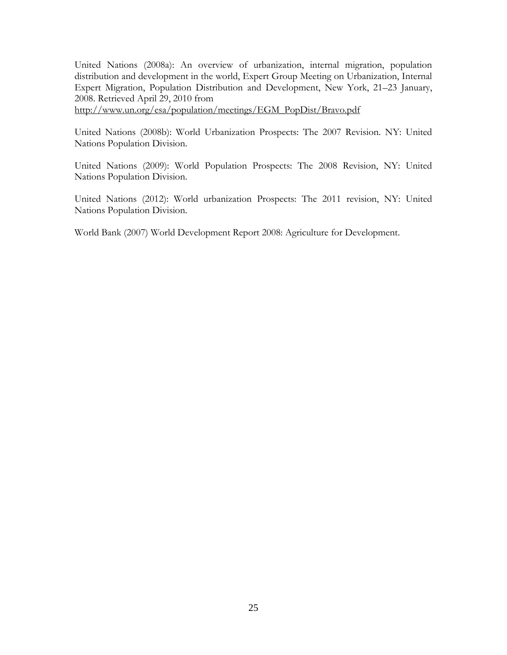United Nations (2008a): An overview of urbanization, internal migration, population distribution and development in the world, Expert Group Meeting on Urbanization, Internal Expert Migration, Population Distribution and Development, New York, 21–23 January, 2008. Retrieved April 29, 2010 from

[http://www.un.org/esa/population/meetings/EGM\\_PopDist/Bravo.pdf](http://www.un.org/esa/population/meetings/EGM_PopDist/Bravo.pdf)

United Nations (2008b): World Urbanization Prospects: The 2007 Revision. NY: United Nations Population Division.

United Nations (2009): World Population Prospects: The 2008 Revision, NY: United Nations Population Division.

United Nations (2012): World urbanization Prospects: The 2011 revision, NY: United Nations Population Division.

World Bank (2007) World Development Report 2008: Agriculture for Development.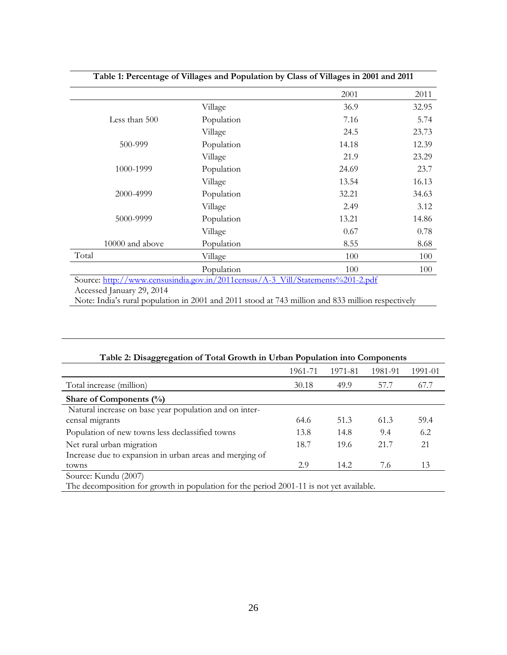|                                                                                                                                                                                                                  | Table 1: Percentage of Villages and Population by Class of Villages in 2001 and 2011 |       |       |
|------------------------------------------------------------------------------------------------------------------------------------------------------------------------------------------------------------------|--------------------------------------------------------------------------------------|-------|-------|
|                                                                                                                                                                                                                  |                                                                                      | 2001  | 2011  |
|                                                                                                                                                                                                                  | Village                                                                              | 36.9  | 32.95 |
| Less than 500                                                                                                                                                                                                    | Population                                                                           | 7.16  | 5.74  |
|                                                                                                                                                                                                                  | Village                                                                              | 24.5  | 23.73 |
| 500-999                                                                                                                                                                                                          | Population                                                                           | 14.18 | 12.39 |
|                                                                                                                                                                                                                  | Village                                                                              | 21.9  | 23.29 |
| 1000-1999                                                                                                                                                                                                        | Population                                                                           | 24.69 | 23.7  |
|                                                                                                                                                                                                                  | Village                                                                              | 13.54 | 16.13 |
| 2000-4999                                                                                                                                                                                                        | Population                                                                           | 32.21 | 34.63 |
|                                                                                                                                                                                                                  | Village                                                                              | 2.49  | 3.12  |
| 5000-9999                                                                                                                                                                                                        | Population                                                                           | 13.21 | 14.86 |
|                                                                                                                                                                                                                  | Village                                                                              | 0.67  | 0.78  |
| 10000 and above                                                                                                                                                                                                  | Population                                                                           | 8.55  | 8.68  |
| Total                                                                                                                                                                                                            | Village                                                                              | 100   | 100   |
|                                                                                                                                                                                                                  | Population                                                                           | 100   | 100   |
| Source: http://www.censusindia.gov.in/2011census/A-3 Vill/Statements%201-2.pdf<br>Accessed January 29, 2014<br>Note: India's rural population in 2001 and 2011 stood at 743 million and 833 million respectively |                                                                                      |       |       |

| Table 2: Disaggregation of Total Growth in Urban Population into Components |         |         |         |         |
|-----------------------------------------------------------------------------|---------|---------|---------|---------|
|                                                                             | 1961-71 | 1971-81 | 1981-91 | 1991-01 |
| Total increase (million)                                                    | 30.18   | 49.9    | 57.7    | 67.7    |
| Share of Components $(\%)$                                                  |         |         |         |         |
| Natural increase on base year population and on inter-<br>censal migrants   | 64.6    | 51.3    | 61.3    | 59.4    |
| Population of new towns less declassified towns                             | 13.8    | 14.8    | 9.4     | 6.2     |
| Net rural urban migration                                                   | 18.7    | 19.6    | 21.7    | 21      |
| Increase due to expansion in urban areas and merging of                     |         |         |         |         |
| towns                                                                       | 2.9     | 14.2    | 7.6     | 13      |

The decomposition for growth in population for the period 2001-11 is not yet available.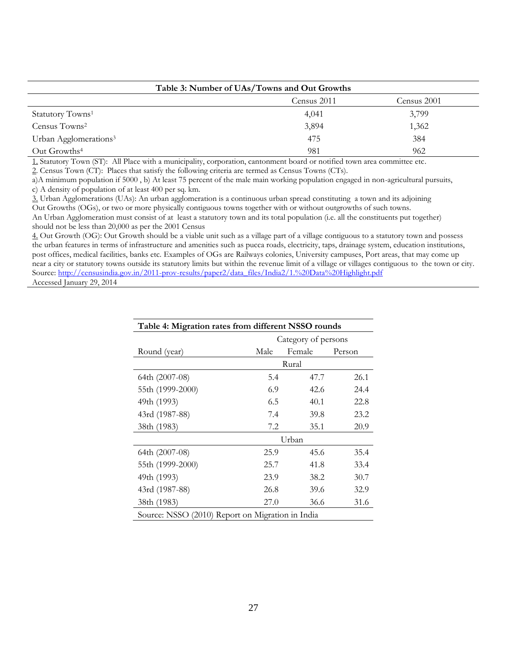| Table 3: Number of UAs/Towns and Out Growths |             |             |  |  |
|----------------------------------------------|-------------|-------------|--|--|
|                                              | Census 2011 | Census 2001 |  |  |
| Statutory Towns <sup>1</sup>                 | 4,041       | 3,799       |  |  |
| Census Towns <sup>2</sup>                    | 3,894       | 1,362       |  |  |
| Urban Agglomerations <sup>3</sup>            | 475         | 384         |  |  |
| Out Growths <sup>4</sup>                     | 981         | 962         |  |  |

1. Statutory Town (ST): All Place with a municipality, corporation, cantonment board or notified town area committee etc*.*

2. Census Town (CT): Places that satisfy the following criteria are termed as Census Towns (CTs).

a)A minimum population if 5000 , b) At least 75 percent of the male main working population engaged in non-agricultural pursuits, c) A density of population of at least 400 per sq. km.

3. Urban Agglomerations (UAs): An urban agglomeration is a continuous urban spread constituting a town and its adjoining Out Growths (OGs), or two or more physically contiguous towns together with or without outgrowths of such towns.

An Urban Agglomeration must consist of at least a statutory town and its total population (i.e. all the constituents put together) should not be less than 20,000 as per the 2001 Census

4. Out Growth (OG): Out Growth should be a viable unit such as a village part of a village contiguous to a statutory town and possess the urban features in terms of infrastructure and amenities such as pucca roads, electricity, taps, drainage system, education institutions, post offices, medical facilities, banks etc. Examples of OGs are Railways colonies, University campuses, Port areas, that may come up near a city or statutory towns outside its statutory limits but within the revenue limit of a village or villages contiguous to the town or city. Source: [http://censusindia.gov.in/2011-prov-results/paper2/data\\_files/India2/1.%20Data%20Highlight.pdf](http://censusindia.gov.in/2011-prov-results/paper2/data_files/India2/1.%20Data%20Highlight.pdf)  Accessed January 29, 2014

| Table 4: Migration rates from different NSSO rounds |      |                     |        |  |  |  |
|-----------------------------------------------------|------|---------------------|--------|--|--|--|
|                                                     |      | Category of persons |        |  |  |  |
| Round (year)                                        | Male | Female              | Person |  |  |  |
|                                                     |      | Rural               |        |  |  |  |
| 64th (2007-08)                                      | 5.4  | 47.7                | 26.1   |  |  |  |
| 55th (1999-2000)                                    | 6.9  | 42.6                | 24.4   |  |  |  |
| 49th (1993)                                         | 6.5  | 40.1                | 22.8   |  |  |  |
| 43rd (1987-88)                                      | 7.4  | 39.8                | 23.2   |  |  |  |
| 38th (1983)                                         | 7.2  | 35.1                | 20.9   |  |  |  |
|                                                     |      | Urban               |        |  |  |  |
| 64th (2007-08)                                      | 25.9 | 45.6                | 35.4   |  |  |  |
| 55th (1999-2000)                                    | 25.7 | 41.8                | 33.4   |  |  |  |
| 49th (1993)                                         | 23.9 | 38.2                | 30.7   |  |  |  |
| 43rd (1987-88)                                      | 26.8 | 39.6                | 32.9   |  |  |  |
| 38th (1983)                                         | 27.0 | 36.6                | 31.6   |  |  |  |
| Source: NSSO (2010) Report on Migration in India    |      |                     |        |  |  |  |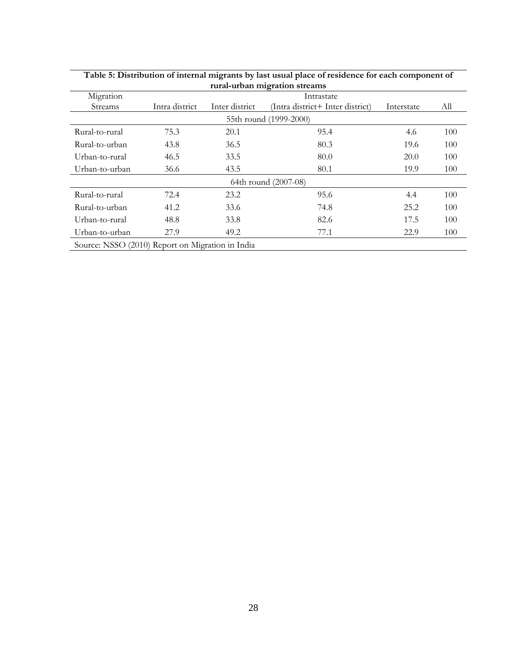| rural-urban migration streams                    |                        |                |                                  |            |     |  |  |  |  |
|--------------------------------------------------|------------------------|----------------|----------------------------------|------------|-----|--|--|--|--|
| Migration                                        | Intrastate             |                |                                  |            |     |  |  |  |  |
| <b>Streams</b>                                   | Intra district         | Inter district | (Intra district+ Inter district) | Interstate | All |  |  |  |  |
|                                                  | 55th round (1999-2000) |                |                                  |            |     |  |  |  |  |
| Rural-to-rural                                   | 75.3                   | 20.1           | 95.4                             | 4.6        | 100 |  |  |  |  |
| Rural-to-urban                                   | 43.8                   | 36.5           | 80.3                             | 19.6       | 100 |  |  |  |  |
| Urban-to-rural                                   | 46.5                   | 33.5           | 80.0                             | 20.0       | 100 |  |  |  |  |
| Urban-to-urban                                   | 36.6                   | 43.5           | 80.1                             | 19.9       | 100 |  |  |  |  |
|                                                  |                        |                | 64th round (2007-08)             |            |     |  |  |  |  |
| Rural-to-rural                                   | 72.4                   | 23.2           | 95.6                             | 4.4        | 100 |  |  |  |  |
| Rural-to-urban                                   | 41.2                   | 33.6           | 74.8                             | 25.2       | 100 |  |  |  |  |
| Urban-to-rural                                   | 48.8                   | 33.8           | 82.6                             | 17.5       | 100 |  |  |  |  |
| Urban-to-urban                                   | 27.9                   | 49.2           | 77.1                             | 22.9       | 100 |  |  |  |  |
| Source: NSSO (2010) Report on Migration in India |                        |                |                                  |            |     |  |  |  |  |

| Table 5: Distribution of internal migrants by last usual place of residence for each component of |
|---------------------------------------------------------------------------------------------------|
| rural-urban migration streams                                                                     |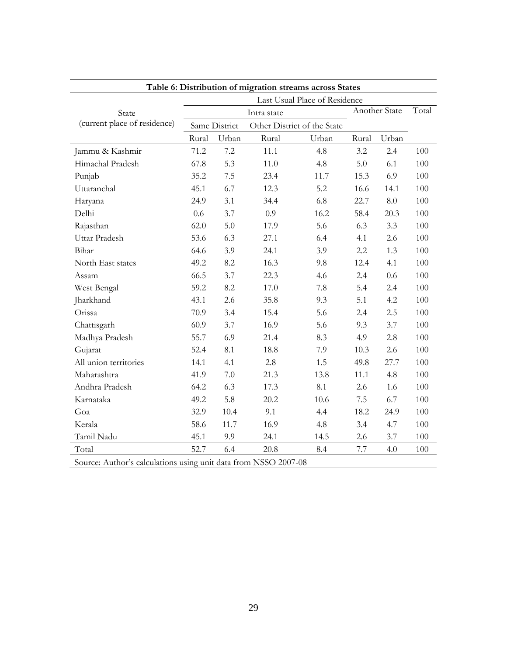| Table 6: Distribution of migration streams across States        |       |               |             |                               |       |               |       |  |
|-----------------------------------------------------------------|-------|---------------|-------------|-------------------------------|-------|---------------|-------|--|
|                                                                 |       |               |             | Last Usual Place of Residence |       |               |       |  |
| State                                                           |       |               | Intra state |                               |       | Another State | Total |  |
| (current place of residence)                                    |       | Same District |             | Other District of the State   |       |               |       |  |
|                                                                 | Rural | Urban         | Rural       | Urban                         | Rural | Urban         |       |  |
| Jammu & Kashmir                                                 | 71.2  | 7.2           | 11.1        | 4.8                           | 3.2   | 2.4           | 100   |  |
| Himachal Pradesh                                                | 67.8  | 5.3           | 11.0        | 4.8                           | 5.0   | 6.1           | 100   |  |
| Punjab                                                          | 35.2  | $7.5\,$       | 23.4        | 11.7                          | 15.3  | 6.9           | 100   |  |
| Uttaranchal                                                     | 45.1  | 6.7           | 12.3        | 5.2                           | 16.6  | 14.1          | 100   |  |
| Haryana                                                         | 24.9  | 3.1           | 34.4        | 6.8                           | 22.7  | 8.0           | 100   |  |
| Delhi                                                           | 0.6   | 3.7           | 0.9         | 16.2                          | 58.4  | 20.3          | 100   |  |
| Rajasthan                                                       | 62.0  | 5.0           | 17.9        | 5.6                           | 6.3   | 3.3           | 100   |  |
| Uttar Pradesh                                                   | 53.6  | 6.3           | 27.1        | 6.4                           | 4.1   | 2.6           | 100   |  |
| Bihar                                                           | 64.6  | 3.9           | 24.1        | 3.9                           | 2.2   | 1.3           | 100   |  |
| North East states                                               | 49.2  | 8.2           | 16.3        | 9.8                           | 12.4  | 4.1           | 100   |  |
| Assam                                                           | 66.5  | 3.7           | 22.3        | 4.6                           | 2.4   | 0.6           | 100   |  |
| West Bengal                                                     | 59.2  | 8.2           | 17.0        | 7.8                           | 5.4   | 2.4           | 100   |  |
| Jharkhand                                                       | 43.1  | 2.6           | 35.8        | 9.3                           | 5.1   | 4.2           | 100   |  |
| Orissa                                                          | 70.9  | 3.4           | 15.4        | 5.6                           | 2.4   | 2.5           | 100   |  |
| Chattisgarh                                                     | 60.9  | 3.7           | 16.9        | 5.6                           | 9.3   | 3.7           | 100   |  |
| Madhya Pradesh                                                  | 55.7  | 6.9           | 21.4        | 8.3                           | 4.9   | 2.8           | 100   |  |
| Gujarat                                                         | 52.4  | 8.1           | 18.8        | 7.9                           | 10.3  | 2.6           | 100   |  |
| All union territories                                           | 14.1  | 4.1           | 2.8         | 1.5                           | 49.8  | 27.7          | 100   |  |
| Maharashtra                                                     | 41.9  | 7.0           | 21.3        | 13.8                          | 11.1  | 4.8           | 100   |  |
| Andhra Pradesh                                                  | 64.2  | 6.3           | 17.3        | 8.1                           | 2.6   | 1.6           | 100   |  |
| Karnataka                                                       | 49.2  | 5.8           | 20.2        | 10.6                          | 7.5   | 6.7           | 100   |  |
| Goa                                                             | 32.9  | 10.4          | 9.1         | 4.4                           | 18.2  | 24.9          | 100   |  |
| Kerala                                                          | 58.6  | 11.7          | 16.9        | 4.8                           | 3.4   | 4.7           | 100   |  |
| Tamil Nadu                                                      | 45.1  | 9.9           | 24.1        | 14.5                          | 2.6   | 3.7           | 100   |  |
| Total                                                           | 52.7  | 6.4           | 20.8        | 8.4                           | 7.7   | 4.0           | 100   |  |
| Source: Author's calculations using unit data from NSSO 2007-08 |       |               |             |                               |       |               |       |  |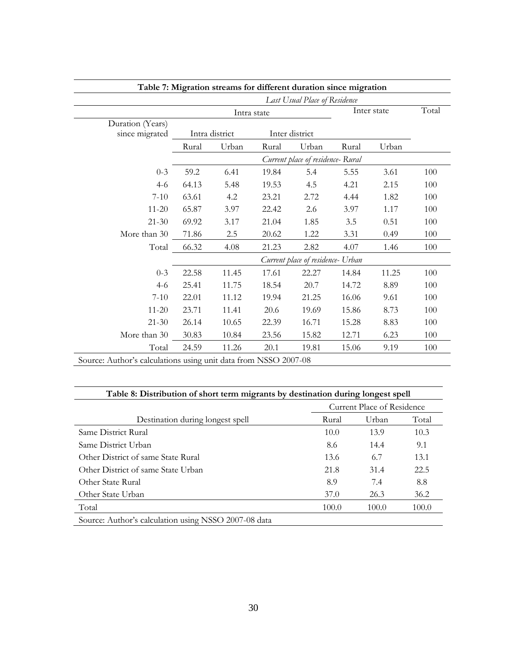|                                                                 |       |                |       | Table 7: Migration streams for different duration since migration |       |             |       |
|-----------------------------------------------------------------|-------|----------------|-------|-------------------------------------------------------------------|-------|-------------|-------|
|                                                                 |       |                |       | Last Usual Place of Residence                                     |       |             |       |
|                                                                 |       | Intra state    |       |                                                                   |       | Inter state | Total |
| Duration (Years)                                                |       |                |       |                                                                   |       |             |       |
| since migrated                                                  |       | Intra district |       | Inter district                                                    |       |             |       |
|                                                                 | Rural | Urban          | Rural | Urban                                                             | Rural | Urban       |       |
|                                                                 |       |                |       | Current place of residence- Rural                                 |       |             |       |
| $0 - 3$                                                         | 59.2  | 6.41           | 19.84 | 5.4                                                               | 5.55  | 3.61        | 100   |
| $4 - 6$                                                         | 64.13 | 5.48           | 19.53 | 4.5                                                               | 4.21  | 2.15        | 100   |
| $7 - 10$                                                        | 63.61 | 4.2            | 23.21 | 2.72                                                              | 4.44  | 1.82        | 100   |
| $11 - 20$                                                       | 65.87 | 3.97           | 22.42 | 2.6                                                               | 3.97  | 1.17        | 100   |
| $21 - 30$                                                       | 69.92 | 3.17           | 21.04 | 1.85                                                              | 3.5   | 0.51        | 100   |
| More than 30                                                    | 71.86 | 2.5            | 20.62 | 1.22                                                              | 3.31  | 0.49        | 100   |
| Total                                                           | 66.32 | 4.08           | 21.23 | 2.82                                                              | 4.07  | 1.46        | 100   |
|                                                                 |       |                |       | Current place of residence- Urban                                 |       |             |       |
| $0 - 3$                                                         | 22.58 | 11.45          | 17.61 | 22.27                                                             | 14.84 | 11.25       | 100   |
| $4 - 6$                                                         | 25.41 | 11.75          | 18.54 | 20.7                                                              | 14.72 | 8.89        | 100   |
| $7 - 10$                                                        | 22.01 | 11.12          | 19.94 | 21.25                                                             | 16.06 | 9.61        | 100   |
| $11 - 20$                                                       | 23.71 | 11.41          | 20.6  | 19.69                                                             | 15.86 | 8.73        | 100   |
| $21 - 30$                                                       | 26.14 | 10.65          | 22.39 | 16.71                                                             | 15.28 | 8.83        | 100   |
| More than 30                                                    | 30.83 | 10.84          | 23.56 | 15.82                                                             | 12.71 | 6.23        | 100   |
| Total                                                           | 24.59 | 11.26          | 20.1  | 19.81                                                             | 15.06 | 9.19        | 100   |
| Source: Author's calculations using unit data from NSSO 2007-08 |       |                |       |                                                                   |       |             |       |

**Table 8: Distribution of short term migrants by destination during longest spell**

| Twice or Distribution of short term migrants by accumulant uning following |                            |       |       |  |  |
|----------------------------------------------------------------------------|----------------------------|-------|-------|--|--|
|                                                                            | Current Place of Residence |       |       |  |  |
| Destination during longest spell                                           | Rural                      | Urban | Total |  |  |
| Same District Rural                                                        | 10.0                       | 13.9  | 10.3  |  |  |
| Same District Urban                                                        | 8.6                        | 14.4  | 9.1   |  |  |
| Other District of same State Rural                                         | 13.6                       | 6.7   | 13.1  |  |  |
| Other District of same State Urban                                         | 21.8                       | 31.4  | 22.5  |  |  |
| Other State Rural                                                          | 8.9                        | 7.4   | 8.8   |  |  |
| Other State Urban                                                          | 37.0                       | 26.3  | 36.2  |  |  |
| Total                                                                      | 100.0                      | 100.0 | 100.0 |  |  |
| Source: Author's calculation using NSSO 2007-08 data                       |                            |       |       |  |  |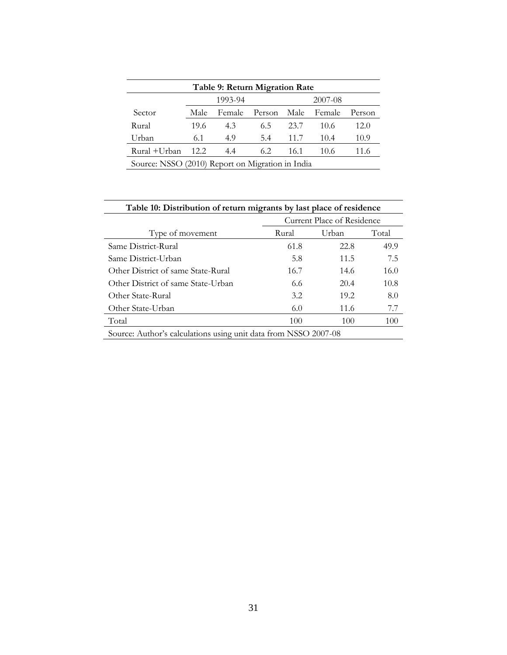| Table 9: Return Migration Rate                   |         |        |             |      |        |        |
|--------------------------------------------------|---------|--------|-------------|------|--------|--------|
|                                                  | 1993-94 |        |             |      |        |        |
| Sector                                           | Male    | Female | Person Male |      | Female | Person |
| Rural                                            | 19.6    | 4.3    | 6.5         | 23.7 | 10.6   | 12.0   |
| Urban                                            | 6.1     | 4.9    | 5.4         | 11.7 | 10.4   | 10.9   |
| Rural +Urban                                     | 12.2    | 4.4    | 6.2         | 16.1 | 10.6   | 11.6   |
| Source: NSSO (2010) Report on Migration in India |         |        |             |      |        |        |

| Table 10: Distribution of return migrants by last place of residence |       |                            |       |  |  |  |
|----------------------------------------------------------------------|-------|----------------------------|-------|--|--|--|
|                                                                      |       | Current Place of Residence |       |  |  |  |
| Type of movement                                                     | Rural | Urban                      | Total |  |  |  |
| Same District-Rural                                                  | 61.8  | 22.8                       | 49.9  |  |  |  |
| Same District-Urban                                                  | 5.8   | 11.5                       | 7.5   |  |  |  |
| Other District of same State-Rural                                   | 16.7  | 14.6                       | 16.0  |  |  |  |
| Other District of same State-Urban                                   | 6.6   | 20.4                       | 10.8  |  |  |  |
| Other State-Rural                                                    | 3.2   | 19.2                       | 8.0   |  |  |  |
| Other State-Urban                                                    | 6.0   | 11.6                       | 7.7   |  |  |  |
| Total                                                                | 100   | 100                        | 100   |  |  |  |
| Source: Author's calculations using unit data from NSSO 2007-08      |       |                            |       |  |  |  |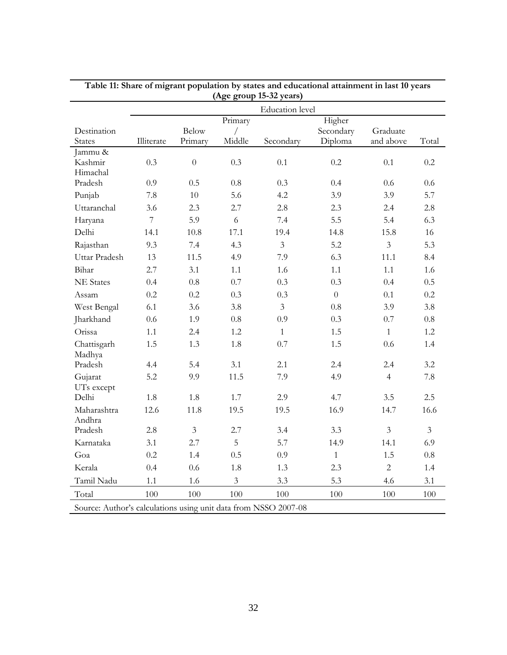|                                                                 | (Age group 15-32 years) |                         |                        |                        |                                |                       |                |
|-----------------------------------------------------------------|-------------------------|-------------------------|------------------------|------------------------|--------------------------------|-----------------------|----------------|
|                                                                 |                         |                         |                        | <b>Education</b> level |                                |                       |                |
| Destination<br><b>States</b>                                    | Illiterate              | <b>Below</b><br>Primary | Primary<br>Γ<br>Middle | Secondary              | Higher<br>Secondary<br>Diploma | Graduate<br>and above | Total          |
| Jammu &<br>Kashmir<br>Himachal                                  | 0.3                     | $\overline{0}$          | 0.3                    | 0.1                    | 0.2                            | 0.1                   | 0.2            |
| Pradesh                                                         | 0.9                     | 0.5                     | 0.8                    | 0.3                    | 0.4                            | 0.6                   | 0.6            |
| Punjab                                                          | 7.8                     | 10                      | 5.6                    | 4.2                    | 3.9                            | 3.9                   | 5.7            |
| Uttaranchal                                                     | 3.6                     | 2.3                     | 2.7                    | 2.8                    | 2.3                            | 2.4                   | 2.8            |
| Haryana                                                         | $\overline{7}$          | 5.9                     | 6                      | 7.4                    | 5.5                            | 5.4                   | 6.3            |
| Delhi                                                           | 14.1                    | 10.8                    | 17.1                   | 19.4                   | 14.8                           | 15.8                  | 16             |
| Rajasthan                                                       | 9.3                     | 7.4                     | 4.3                    | $\overline{3}$         | 5.2                            | $\overline{3}$        | 5.3            |
| Uttar Pradesh                                                   | 13                      | 11.5                    | 4.9                    | 7.9                    | 6.3                            | 11.1                  | 8.4            |
| Bihar                                                           | 2.7                     | 3.1                     | 1.1                    | 1.6                    | 1.1                            | 1.1                   | 1.6            |
| <b>NE</b> States                                                | 0.4                     | 0.8                     | 0.7                    | 0.3                    | 0.3                            | 0.4                   | 0.5            |
| Assam                                                           | 0.2                     | 0.2                     | 0.3                    | 0.3                    | $\overline{0}$                 | 0.1                   | 0.2            |
| West Bengal                                                     | 6.1                     | 3.6                     | 3.8                    | $\overline{3}$         | 0.8                            | 3.9                   | 3.8            |
| Jharkhand                                                       | 0.6                     | 1.9                     | 0.8                    | 0.9                    | 0.3                            | 0.7                   | 0.8            |
| Orissa                                                          | 1.1                     | 2.4                     | 1.2                    | $\mathbf{1}$           | 1.5                            | $\mathbf{1}$          | 1.2            |
| Chattisgarh<br>Madhya                                           | 1.5                     | 1.3                     | 1.8                    | 0.7                    | 1.5                            | 0.6                   | 1.4            |
| Pradesh                                                         | 4.4                     | 5.4                     | 3.1                    | 2.1                    | 2.4                            | 2.4                   | 3.2            |
| Gujarat<br>UTs except                                           | 5.2                     | 9.9                     | 11.5                   | 7.9                    | 4.9                            | $\overline{4}$        | 7.8            |
| Delhi                                                           | 1.8                     | 1.8                     | 1.7                    | 2.9                    | 4.7                            | 3.5                   | 2.5            |
| Maharashtra<br>Andhra                                           | 12.6                    | 11.8                    | 19.5                   | 19.5                   | 16.9                           | 14.7                  | 16.6           |
| Pradesh                                                         | 2.8                     | $\mathfrak{Z}$          | 2.7                    | 3.4                    | 3.3                            | $\overline{3}$        | $\overline{3}$ |
| Karnataka                                                       | 3.1                     | 2.7                     | 5                      | 5.7                    | 14.9                           | 14.1                  | 6.9            |
| Goa                                                             | 0.2                     | 1.4                     | 0.5                    | 0.9                    | $\mathbf{1}$                   | 1.5                   | 0.8            |
| Kerala                                                          | 0.4                     | 0.6                     | 1.8                    | 1.3                    | 2.3                            | $\overline{2}$        | 1.4            |
| Tamil Nadu                                                      | 1.1                     | 1.6                     | $\overline{3}$         | 3.3                    | 5.3                            | 4.6                   | 3.1            |
| Total                                                           | 100                     | 100                     | 100                    | 100                    | 100                            | 100                   | 100            |
| Source: Author's calculations using unit data from NSSO 2007-08 |                         |                         |                        |                        |                                |                       |                |

**Table 11: Share of migrant population by states and educational attainment in last 10 years**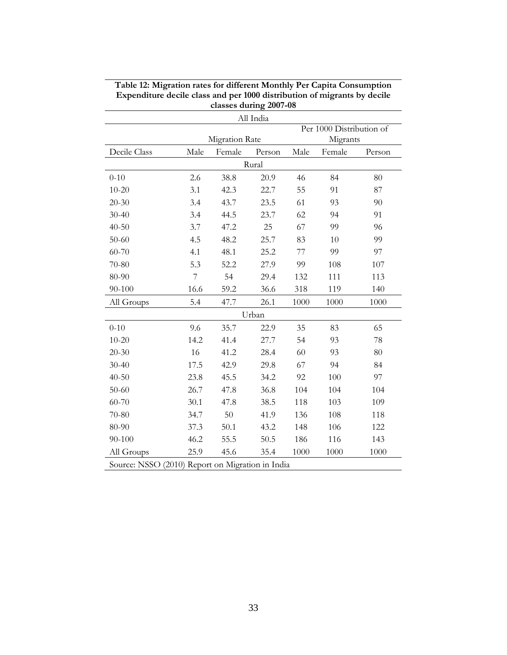|                                                  |                          |                       | All India |          |          |        |  |
|--------------------------------------------------|--------------------------|-----------------------|-----------|----------|----------|--------|--|
|                                                  | Per 1000 Distribution of |                       |           |          |          |        |  |
|                                                  |                          | <b>Migration Rate</b> |           | Migrants |          |        |  |
| Decile Class                                     | Male                     | Female                | Person    | Male     | Female   | Person |  |
| Rural                                            |                          |                       |           |          |          |        |  |
| $0 - 10$                                         | 2.6                      | 38.8                  | 20.9      | 46       | 84       | 80     |  |
| $10 - 20$                                        | 3.1                      | 42.3                  | 22.7      | 55       | 91       | 87     |  |
| $20 - 30$                                        | 3.4                      | 43.7                  | 23.5      | 61       | 93       | 90     |  |
| $30 - 40$                                        | 3.4                      | 44.5                  | 23.7      | 62       | 94       | 91     |  |
| $40 - 50$                                        | 3.7                      | 47.2                  | 25        | 67       | 99<br>96 |        |  |
| $50 - 60$                                        | 4.5                      | 48.2                  | 25.7      | 83<br>10 |          | 99     |  |
| 60-70                                            | 4.1                      | 48.1                  | 25.2      | 77       | 99       | 97     |  |
| 70-80                                            | 5.3                      | 52.2                  | 27.9      | 99       | 108      | 107    |  |
| 80-90                                            | $\overline{7}$           | 54                    | 29.4      | 132      | 111      | 113    |  |
| 90-100                                           | 16.6                     | 59.2                  | 36.6      | 318      | 119      | 140    |  |
| All Groups                                       | 5.4                      | 47.7                  | 26.1      | 1000     | 1000     | 1000   |  |
|                                                  |                          |                       | Urban     |          |          |        |  |
| $0 - 10$                                         | 9.6                      | 35.7                  | 22.9      | 35       | 83       | 65     |  |
| $10 - 20$                                        | 14.2                     | 41.4                  | 27.7      | 54       | 93       | 78     |  |
| $20 - 30$                                        | 16                       | 41.2                  | 28.4      | 60       | 93       | 80     |  |
| $30 - 40$                                        | 17.5                     | 42.9                  | 29.8      | 67       | 94       | 84     |  |
| $40 - 50$                                        | 23.8                     | 45.5                  | 34.2      | 92       | 100      | 97     |  |
| $50 - 60$                                        | 26.7                     | 47.8                  | 36.8      | 104      | 104      | 104    |  |
| 60-70                                            | 30.1                     | 47.8                  | 38.5      | 118      | 103      | 109    |  |
| 70-80                                            | 34.7                     | 50                    | 41.9      | 136      | 108      | 118    |  |
| 80-90                                            | 37.3                     | 50.1                  | 43.2      | 148      | 106      | 122    |  |
| 90-100                                           | 46.2                     | 55.5                  | 50.5      | 186      | 116      | 143    |  |
| All Groups                                       | 25.9                     | 45.6                  | 35.4      | 1000     | 1000     | 1000   |  |
| Source: NSSO (2010) Report on Migration in India |                          |                       |           |          |          |        |  |

**Table 12: Migration rates for different Monthly Per Capita Consumption Expenditure decile class and per 1000 distribution of migrants by decile classes during 2007-08**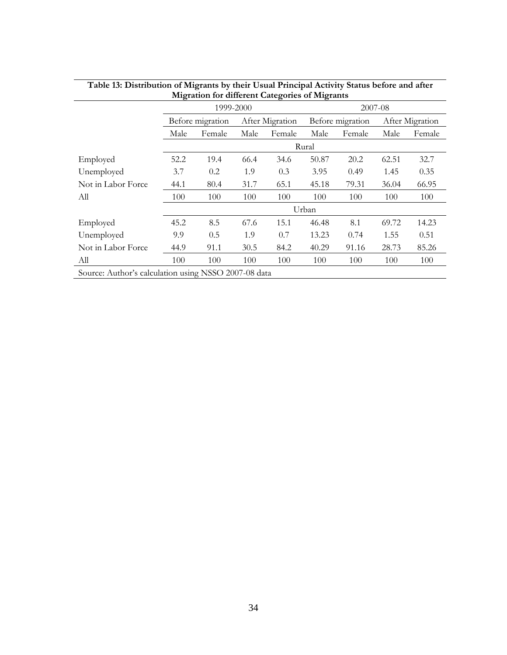|                                                      |       | <b>Example 101</b> University Categories of Migrants |      |                 |       |                  |       |                 |  |
|------------------------------------------------------|-------|------------------------------------------------------|------|-----------------|-------|------------------|-------|-----------------|--|
|                                                      |       | 1999-2000                                            |      |                 |       | 2007-08          |       |                 |  |
|                                                      |       | Before migration                                     |      | After Migration |       | Before migration |       | After Migration |  |
|                                                      | Male  | Female                                               | Male | Female          | Male  | Female           | Male  | Female          |  |
|                                                      | Rural |                                                      |      |                 |       |                  |       |                 |  |
| Employed                                             | 52.2  | 19.4                                                 | 66.4 | 34.6            | 50.87 | 20.2             | 62.51 | 32.7            |  |
| Unemployed                                           | 3.7   | 0.2                                                  | 1.9  | 0.3             | 3.95  | 0.49             | 1.45  | 0.35            |  |
| Not in Labor Force                                   | 44.1  | 80.4                                                 | 31.7 | 65.1            | 45.18 | 79.31            | 36.04 | 66.95           |  |
| Аll                                                  | 100   | 100                                                  | 100  | 100             | 100   | 100              | 100   | 100             |  |
|                                                      | Urban |                                                      |      |                 |       |                  |       |                 |  |
| Employed                                             | 45.2  | 8.5                                                  | 67.6 | 15.1            | 46.48 | 8.1              | 69.72 | 14.23           |  |
| Unemployed                                           | 9.9   | 0.5                                                  | 1.9  | 0.7             | 13.23 | 0.74             | 1.55  | 0.51            |  |
| Not in Labor Force                                   | 44.9  | 91.1                                                 | 30.5 | 84.2            | 40.29 | 91.16            | 28.73 | 85.26           |  |
| All                                                  | 100   | 100                                                  | 100  | 100             | 100   | 100              | 100   | 100             |  |
| Source: Author's calculation using NSSO 2007-08 data |       |                                                      |      |                 |       |                  |       |                 |  |

| Table 13: Distribution of Migrants by their Usual Principal Activity Status before and after |
|----------------------------------------------------------------------------------------------|
| <b>Migration for different Categories of Migrants</b>                                        |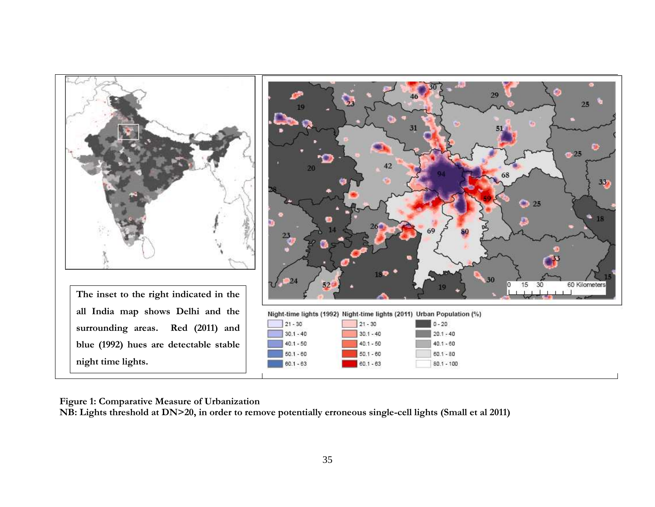

**Figure 1: Comparative Measure of Urbanization**

**NB: Lights threshold at DN>20, in order to remove potentially erroneous single-cell lights (Small et al 2011)**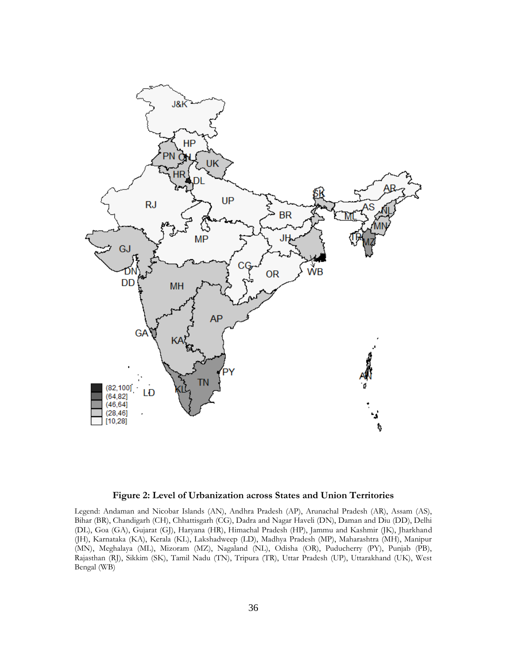

#### **Figure 2: Level of Urbanization across States and Union Territories**

Legend: Andaman and Nicobar Islands (AN), Andhra Pradesh (AP), Arunachal Pradesh (AR), Assam (AS), Bihar (BR), Chandigarh (CH), Chhattisgarh (CG), Dadra and Nagar Haveli (DN), Daman and Diu (DD), Delhi (DL), Goa (GA), Gujarat (GJ), Haryana (HR), Himachal Pradesh (HP), Jammu and Kashmir (JK), Jharkhand (JH), Karnataka (KA), Kerala (KL), Lakshadweep (LD), Madhya Pradesh (MP), Maharashtra (MH), Manipur (MN), Meghalaya (ML), Mizoram (MZ), Nagaland (NL), Odisha (OR), Puducherry (PY), Punjab (PB), Rajasthan (RJ), Sikkim (SK), Tamil Nadu (TN), Tripura (TR), Uttar Pradesh (UP), Uttarakhand (UK), West Bengal (WB)